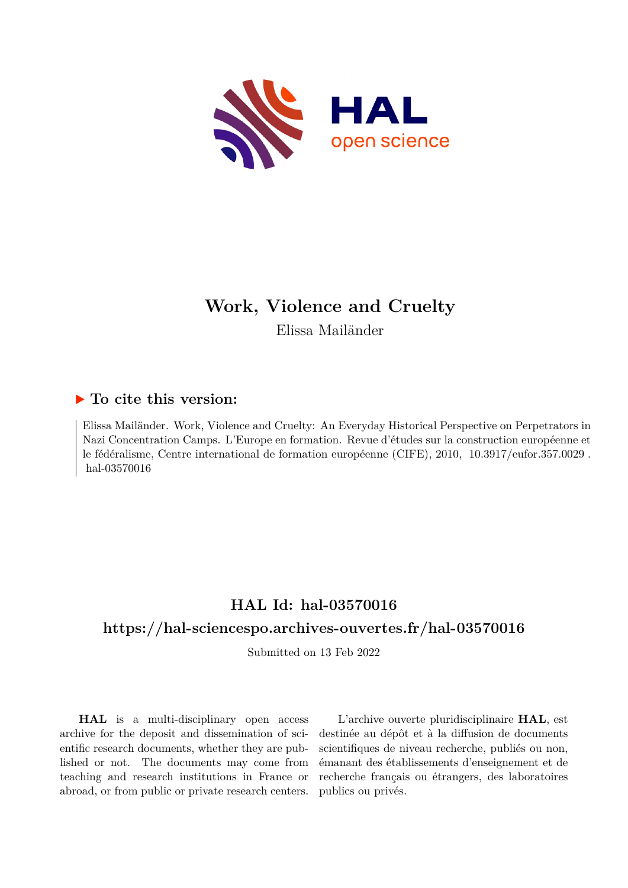

# **Work, Violence and Cruelty**

Elissa Mailänder

## **To cite this version:**

Elissa Mailänder. Work, Violence and Cruelty: An Everyday Historical Perspective on Perpetrators in Nazi Concentration Camps. L'Europe en formation. Revue d'études sur la construction européenne et le fédéralisme, Centre international de formation européenne (CIFE), 2010, 10.3917/eufor.357.0029. hal-03570016

## **HAL Id: hal-03570016**

## **<https://hal-sciencespo.archives-ouvertes.fr/hal-03570016>**

Submitted on 13 Feb 2022

**HAL** is a multi-disciplinary open access archive for the deposit and dissemination of scientific research documents, whether they are published or not. The documents may come from teaching and research institutions in France or abroad, or from public or private research centers.

L'archive ouverte pluridisciplinaire **HAL**, est destinée au dépôt et à la diffusion de documents scientifiques de niveau recherche, publiés ou non, émanant des établissements d'enseignement et de recherche français ou étrangers, des laboratoires publics ou privés.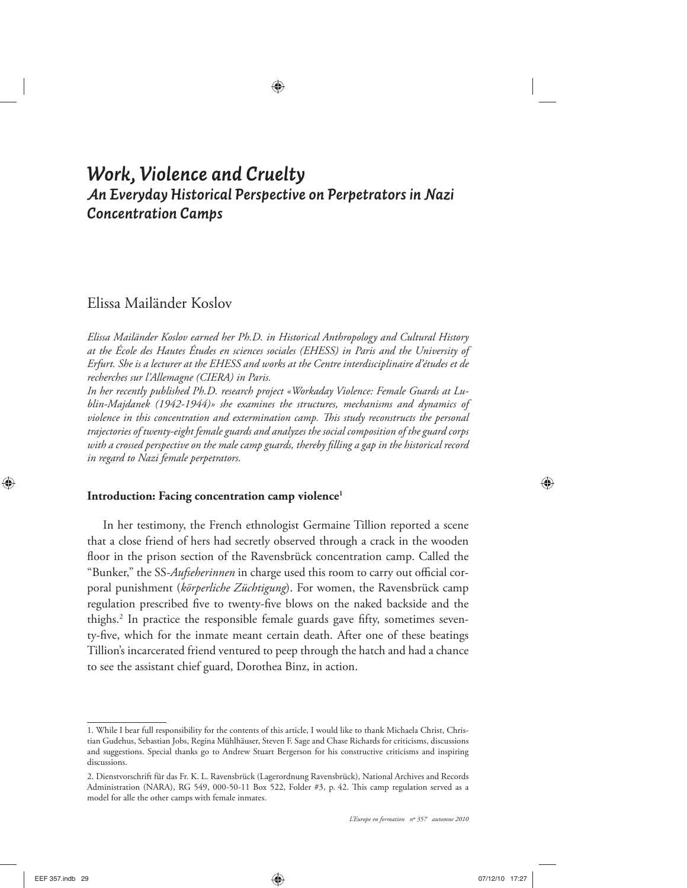## *Work, Violence and Cruelty An Everyday Historical Perspective on Perpetrators in Nazi Concentration Camps*

### Elissa Mailänder Koslov

*Elissa Mailänder Koslov earned her Ph.D. in Historical Anthropology and Cultural History at the École des Hautes Études en sciences sociales (EHESS) in Paris and the University of Erfurt. She is a lecturer at the EHESS and works at the Centre interdisciplinaire d'études et de recherches sur l'Allemagne (CIERA) in Paris.*

*In her recently published Ph.D. research project «Workaday Violence: Female Guards at Lublin-Majdanek (1942-1944)» she examines the structures, mechanisms and dynamics of*  violence in this concentration and extermination camp. This study reconstructs the personal *trajectories of twenty-eight female guards and analyzes the social composition of the guard corps*  with a crossed perspective on the male camp guards, thereby filling a gap in the historical record *in regard to Nazi female perpetrators.*

#### **Introduction: Facing concentration camp violence1**

In her testimony, the French ethnologist Germaine Tillion reported a scene that a close friend of hers had secretly observed through a crack in the wooden floor in the prison section of the Ravensbrück concentration camp. Called the "Bunker," the SS-Aufseherinnen in charge used this room to carry out official corporal punishment (*körperliche Züchtigung*). For women, the Ravensbrück camp regulation prescribed five to twenty-five blows on the naked backside and the thighs.<sup>2</sup> In practice the responsible female guards gave fifty, sometimes seventy-five, which for the inmate meant certain death. After one of these beatings Tillion's incarcerated friend ventured to peep through the hatch and had a chance to see the assistant chief guard, Dorothea Binz, in action.

<sup>1.</sup> While I bear full responsibility for the contents of this article, I would like to thank Michaela Christ, Christian Gudehus, Sebastian Jobs, Regina Mühlhäuser, Steven F. Sage and Chase Richards for criticisms, discussions and suggestions. Special thanks go to Andrew Stuart Bergerson for his constructive criticisms and inspiring discussions.

<sup>2.</sup> Dienstvorschrift für das Fr. K. L. Ravensbrück (Lagerordnung Ravensbrück), National Archives and Records Administration (NARA), RG 549, 000-50-11 Box 522, Folder #3, p. 42. This camp regulation served as a model for alle the other camps with female inmates.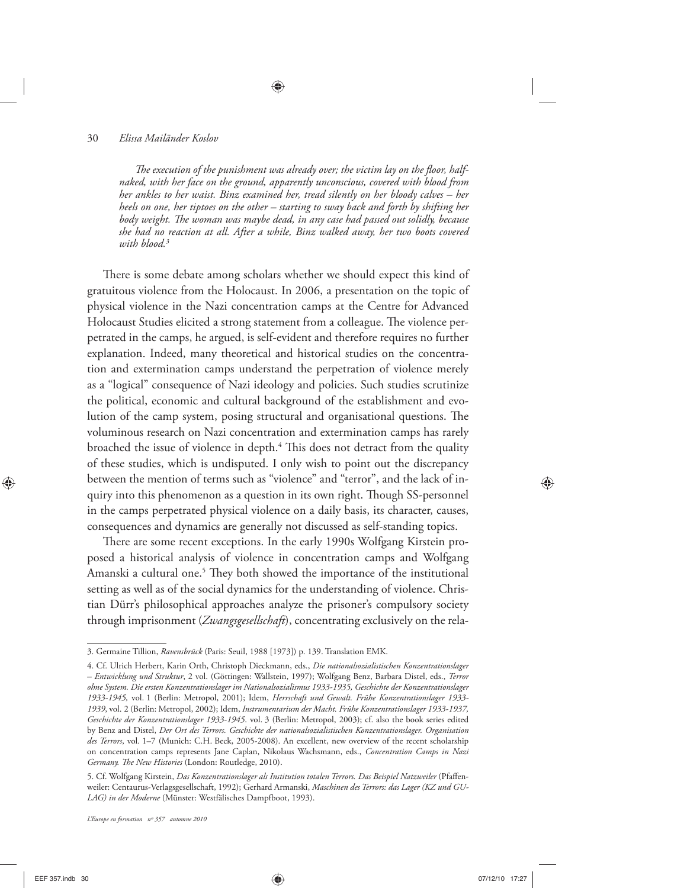The execution of the punishment was already over; the victim lay on the floor, half*naked, with her face on the ground, apparently unconscious, covered with blood from her ankles to her waist. Binz examined her, tread silently on her bloody calves – her heels on one, her tiptoes on the other – starting to sway back and forth by shifting her*  body weight. The woman was maybe dead, in any case had passed out solidly, because *she had no reaction at all. After a while, Binz walked away, her two boots covered with blood.3*

There is some debate among scholars whether we should expect this kind of gratuitous violence from the Holocaust. In 2006, a presentation on the topic of physical violence in the Nazi concentration camps at the Centre for Advanced Holocaust Studies elicited a strong statement from a colleague. The violence perpetrated in the camps, he argued, is self-evident and therefore requires no further explanation. Indeed, many theoretical and historical studies on the concentration and extermination camps understand the perpetration of violence merely as a "logical" consequence of Nazi ideology and policies. Such studies scrutinize the political, economic and cultural background of the establishment and evolution of the camp system, posing structural and organisational questions. The voluminous research on Nazi concentration and extermination camps has rarely broached the issue of violence in depth.<sup>4</sup> This does not detract from the quality of these studies, which is undisputed. I only wish to point out the discrepancy between the mention of terms such as "violence" and "terror", and the lack of inquiry into this phenomenon as a question in its own right. Though SS-personnel in the camps perpetrated physical violence on a daily basis, its character, causes, consequences and dynamics are generally not discussed as self-standing topics.

There are some recent exceptions. In the early 1990s Wolfgang Kirstein proposed a historical analysis of violence in concentration camps and Wolfgang Amanski a cultural one.<sup>5</sup> They both showed the importance of the institutional setting as well as of the social dynamics for the understanding of violence. Christian Dürr's philosophical approaches analyze the prisoner's compulsory society through imprisonment (*Zwangsgesellschaft*), concentrating exclusively on the rela-

<sup>3.</sup> Germaine Tillion, *Ravensbrück* (Paris: Seuil, 1988 [1973]) p. 139. Translation EMK.

<sup>4.</sup> Cf. Ulrich Herbert, Karin Orth, Christoph Dieckmann, eds., *Die nationalsozialistischen Konzentrationslager – Entwicklung und Struktur*, 2 vol. (Göttingen: Wallstein, 1997); Wolfgang Benz, Barbara Distel, eds., *Terror ohne System. Die ersten Konzentrationslager im Nationalsozialismus 1933-1935, Geschichte der Konzentrationslager 1933-1945,* vol. 1 (Berlin: Metropol, 2001); Idem, *Herrschaft und Gewalt. Frühe Konzentrationslager 1933- 1939*, vol. 2 (Berlin: Metropol, 2002); Idem, *Instrumentarium der Macht. Frühe Konzentrationslager 1933-1937, Geschichte der Konzentrationslager 1933-1945*. vol. 3 (Berlin: Metropol, 2003); cf. also the book series edited by Benz and Distel, *Der Ort des Terrors. Geschichte der nationalsozialistischen Konzentrationslager. Organisation des Terrors*, vol. 1–7 (Munich: C.H. Beck, 2005-2008). An excellent, new overview of the recent scholarship on concentration camps represents Jane Caplan, Nikolaus Wachsmann, eds., *Concentration Camps in Nazi*  Germany. The New Histories (London: Routledge, 2010).

<sup>5.</sup> Cf. Wolfgang Kirstein, *Das Konzentrationslager als Institution totalen Terrors. Das Beispiel Natzweiler* (Pfaffenweiler: Centaurus-Verlagsgesellschaft, 1992); Gerhard Armanski, *Maschinen des Terrors: das Lager (KZ und GU-LAG) in der Moderne* (Münster: Westfälisches Dampfboot, 1993).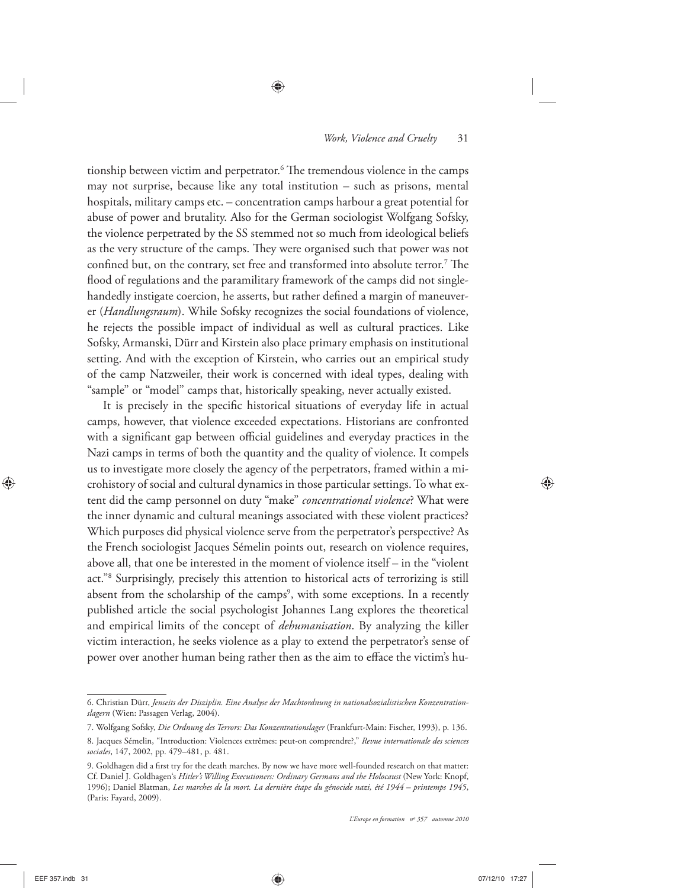tionship between victim and perpetrator.<sup>6</sup> The tremendous violence in the camps may not surprise, because like any total institution – such as prisons, mental hospitals, military camps etc. – concentration camps harbour a great potential for abuse of power and brutality. Also for the German sociologist Wolfgang Sofsky, the violence perpetrated by the SS stemmed not so much from ideological beliefs as the very structure of the camps. They were organised such that power was not confined but, on the contrary, set free and transformed into absolute terror.<sup>7</sup> The flood of regulations and the paramilitary framework of the camps did not singlehandedly instigate coercion, he asserts, but rather defined a margin of maneuverer (*Handlungsraum*). While Sofsky recognizes the social foundations of violence, he rejects the possible impact of individual as well as cultural practices. Like Sofsky, Armanski, Dürr and Kirstein also place primary emphasis on institutional setting. And with the exception of Kirstein, who carries out an empirical study of the camp Natzweiler, their work is concerned with ideal types, dealing with "sample" or "model" camps that, historically speaking, never actually existed.

It is precisely in the specific historical situations of everyday life in actual camps, however, that violence exceeded expectations. Historians are confronted with a significant gap between official guidelines and everyday practices in the Nazi camps in terms of both the quantity and the quality of violence. It compels us to investigate more closely the agency of the perpetrators, framed within a microhistory of social and cultural dynamics in those particular settings. To what extent did the camp personnel on duty "make" *concentrational violence*? What were the inner dynamic and cultural meanings associated with these violent practices? Which purposes did physical violence serve from the perpetrator's perspective? As the French sociologist Jacques Sémelin points out, research on violence requires, above all, that one be interested in the moment of violence itself – in the "violent act."8 Surprisingly, precisely this attention to historical acts of terrorizing is still absent from the scholarship of the camps<sup>9</sup>, with some exceptions. In a recently published article the social psychologist Johannes Lang explores the theoretical and empirical limits of the concept of *dehumanisation*. By analyzing the killer victim interaction, he seeks violence as a play to extend the perpetrator's sense of power over another human being rather then as the aim to efface the victim's hu-

<sup>6.</sup> Christian Dürr, *Jenseits der Disziplin. Eine Analyse der Machtordnung in nationalsozialistischen Konzentrationslagern* (Wien: Passagen Verlag, 2004).

<sup>7.</sup> Wolfgang Sofsky, *Die Ordnung des Terrors: Das Konzentrationslager* (Frankfurt-Main: Fischer, 1993), p. 136.

<sup>8.</sup> Jacques Sémelin, "Introduction: Violences extrêmes: peut-on comprendre?," *Revue internationale des sciences sociales*, 147, 2002, pp. 479–481, p. 481.

<sup>9.</sup> Goldhagen did a first try for the death marches. By now we have more well-founded research on that matter: Cf. Daniel J. Goldhagen's *Hitler's Willing Executioners: Ordinary Germans and the Holocaust* (New York: Knopf, 1996); Daniel Blatman, *Les marches de la mort. La dernière étape du génocide nazi, été 1944 – printemps 1945*, (Paris: Fayard, 2009).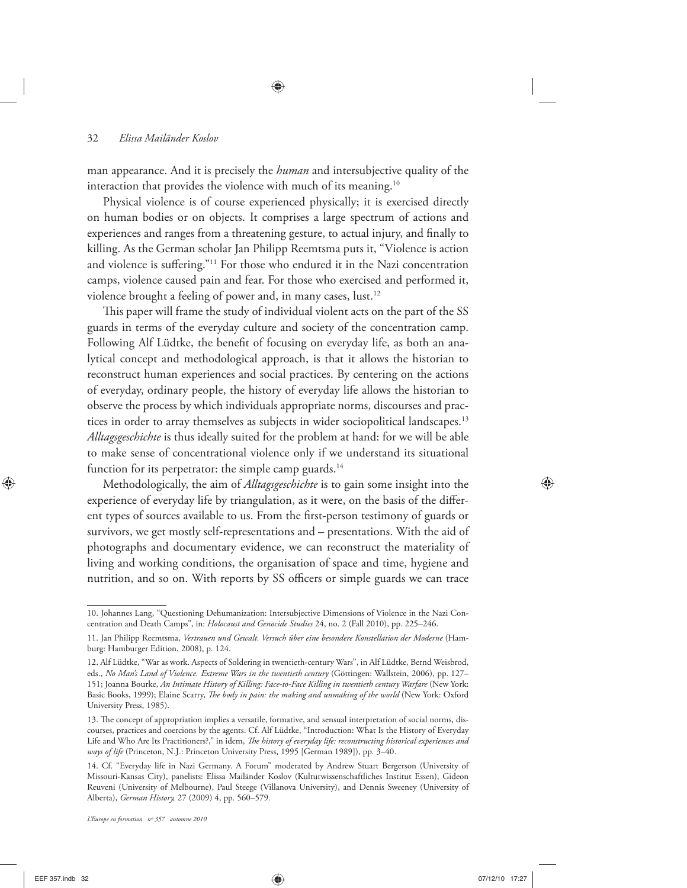man appearance. And it is precisely the *human* and intersubjective quality of the interaction that provides the violence with much of its meaning.<sup>10</sup>

Physical violence is of course experienced physically; it is exercised directly on human bodies or on objects. It comprises a large spectrum of actions and experiences and ranges from a threatening gesture, to actual injury, and finally to killing. As the German scholar Jan Philipp Reemtsma puts it, "Violence is action and violence is suffering."<sup>11</sup> For those who endured it in the Nazi concentration camps, violence caused pain and fear. For those who exercised and performed it, violence brought a feeling of power and, in many cases, lust.12

This paper will frame the study of individual violent acts on the part of the SS guards in terms of the everyday culture and society of the concentration camp. Following Alf Lüdtke, the benefit of focusing on everyday life, as both an analytical concept and methodological approach, is that it allows the historian to reconstruct human experiences and social practices. By centering on the actions of everyday, ordinary people, the history of everyday life allows the historian to observe the process by which individuals appropriate norms, discourses and practices in order to array themselves as subjects in wider sociopolitical landscapes.<sup>13</sup> *Alltagsgeschichte* is thus ideally suited for the problem at hand: for we will be able to make sense of concentrational violence only if we understand its situational function for its perpetrator: the simple camp guards.<sup>14</sup>

Methodologically, the aim of *Alltagsgeschichte* is to gain some insight into the experience of everyday life by triangulation, as it were, on the basis of the different types of sources available to us. From the first-person testimony of guards or survivors, we get mostly self-representations and – presentations. With the aid of photographs and documentary evidence, we can reconstruct the materiality of living and working conditions, the organisation of space and time, hygiene and nutrition, and so on. With reports by SS officers or simple guards we can trace

<sup>10.</sup> Johannes Lang, "Questioning Dehumanization: Intersubjective Dimensions of Violence in the Nazi Concentration and Death Camps", in: *Holocaust and Genocide Studies* 24, no. 2 (Fall 2010), pp. 225–246.

<sup>11.</sup> Jan Philipp Reemtsma, *Vertrauen und Gewalt. Versuch über eine besondere Konstellation der Moderne* (Hamburg: Hamburger Edition, 2008), p. 124.

<sup>12.</sup> Alf Lüdtke, "War as work. Aspects of Soldering in twentieth-century Wars", in Alf Lüdtke, Bernd Weisbrod, eds., *No Man's Land of Violence. Extreme Wars in the twentieth century* (Göttingen: Wallstein, 2006), pp. 127– 151; Joanna Bourke, *An Intimate History of Killing: Face-to-Face Killing in twentieth century Warfare* (New York: Basic Books, 1999); Elaine Scarry, *The body in pain: the making and unmaking of the world* (New York: Oxford University Press, 1985).

<sup>13.</sup> The concept of appropriation implies a versatile, formative, and sensual interpretation of social norms, discourses, practices and coercions by the agents. Cf. Alf Lüdtke, "Introduction: What Is the History of Everyday Life and Who Are Its Practitioners?," in idem, *The history of everyday life: reconstructing historical experiences and ways of life* (Princeton, N.J.: Princeton University Press, 1995 [German 1989]), pp. 3–40.

<sup>14.</sup> Cf. "Everyday life in Nazi Germany. A Forum" moderated by Andrew Stuart Bergerson (University of Missouri-Kansas City), panelists: Elissa Mailänder Koslov (Kulturwissenschaftliches Institut Essen), Gideon Reuveni (University of Melbourne), Paul Steege (Villanova University), and Dennis Sweeney (University of Alberta), *German History,* 27 (2009) 4, pp. 560–579.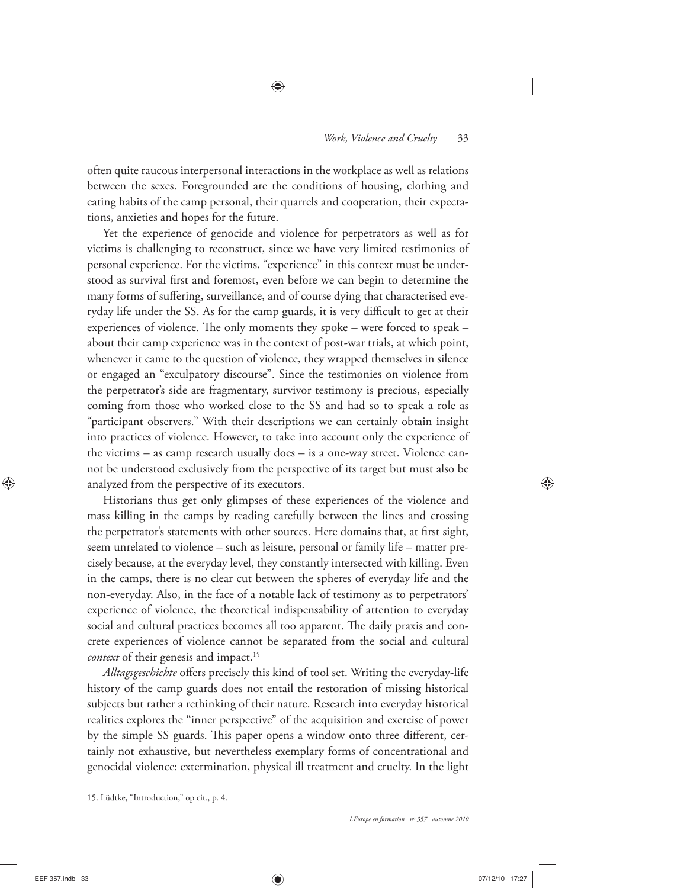often quite raucous interpersonal interactions in the workplace as well as relations between the sexes. Foregrounded are the conditions of housing, clothing and eating habits of the camp personal, their quarrels and cooperation, their expectations, anxieties and hopes for the future.

Yet the experience of genocide and violence for perpetrators as well as for victims is challenging to reconstruct, since we have very limited testimonies of personal experience. For the victims, "experience" in this context must be understood as survival first and foremost, even before we can begin to determine the many forms of suffering, surveillance, and of course dying that characterised everyday life under the SS. As for the camp guards, it is very difficult to get at their experiences of violence. The only moments they spoke – were forced to speak – about their camp experience was in the context of post-war trials, at which point, whenever it came to the question of violence, they wrapped themselves in silence or engaged an "exculpatory discourse". Since the testimonies on violence from the perpetrator's side are fragmentary, survivor testimony is precious, especially coming from those who worked close to the SS and had so to speak a role as "participant observers." With their descriptions we can certainly obtain insight into practices of violence. However, to take into account only the experience of the victims – as camp research usually does – is a one-way street. Violence cannot be understood exclusively from the perspective of its target but must also be analyzed from the perspective of its executors.

Historians thus get only glimpses of these experiences of the violence and mass killing in the camps by reading carefully between the lines and crossing the perpetrator's statements with other sources. Here domains that, at first sight, seem unrelated to violence – such as leisure, personal or family life – matter precisely because, at the everyday level, they constantly intersected with killing. Even in the camps, there is no clear cut between the spheres of everyday life and the non-everyday. Also, in the face of a notable lack of testimony as to perpetrators' experience of violence, the theoretical indispensability of attention to everyday social and cultural practices becomes all too apparent. The daily praxis and concrete experiences of violence cannot be separated from the social and cultural *context* of their genesis and impact.<sup>15</sup>

Alltagsgeschichte offers precisely this kind of tool set. Writing the everyday-life history of the camp guards does not entail the restoration of missing historical subjects but rather a rethinking of their nature. Research into everyday historical realities explores the "inner perspective" of the acquisition and exercise of power by the simple SS guards. This paper opens a window onto three different, certainly not exhaustive, but nevertheless exemplary forms of concentrational and genocidal violence: extermination, physical ill treatment and cruelty. In the light

<sup>15.</sup> Lüdtke, "Introduction," op cit., p. 4.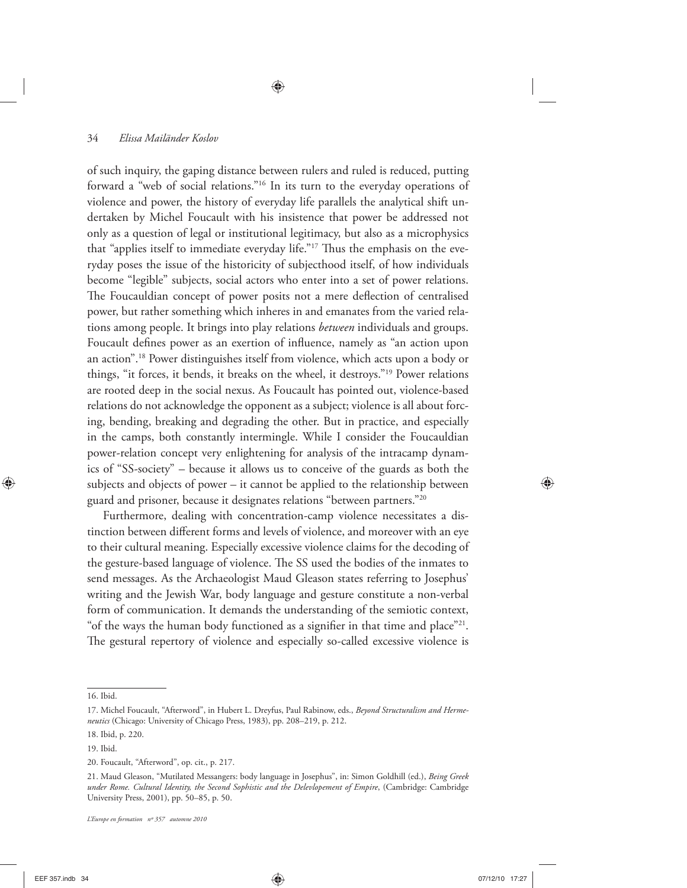of such inquiry, the gaping distance between rulers and ruled is reduced, putting forward a "web of social relations."16 In its turn to the everyday operations of violence and power, the history of everyday life parallels the analytical shift undertaken by Michel Foucault with his insistence that power be addressed not only as a question of legal or institutional legitimacy, but also as a microphysics that "applies itself to immediate everyday life."<sup>17</sup> Thus the emphasis on the everyday poses the issue of the historicity of subjecthood itself, of how individuals become "legible" subjects, social actors who enter into a set of power relations. The Foucauldian concept of power posits not a mere deflection of centralised power, but rather something which inheres in and emanates from the varied relations among people. It brings into play relations *between* individuals and groups. Foucault defines power as an exertion of influence, namely as "an action upon an action".18 Power distinguishes itself from violence, which acts upon a body or things, "it forces, it bends, it breaks on the wheel, it destroys."19 Power relations are rooted deep in the social nexus. As Foucault has pointed out, violence-based relations do not acknowledge the opponent as a subject; violence is all about forcing, bending, breaking and degrading the other. But in practice, and especially in the camps, both constantly intermingle. While I consider the Foucauldian power-relation concept very enlightening for analysis of the intracamp dynamics of "SS-society" – because it allows us to conceive of the guards as both the subjects and objects of power – it cannot be applied to the relationship between guard and prisoner, because it designates relations "between partners."20

Furthermore, dealing with concentration-camp violence necessitates a distinction between different forms and levels of violence, and moreover with an eye to their cultural meaning. Especially excessive violence claims for the decoding of the gesture-based language of violence. The SS used the bodies of the inmates to send messages. As the Archaeologist Maud Gleason states referring to Josephus' writing and the Jewish War, body language and gesture constitute a non-verbal form of communication. It demands the understanding of the semiotic context, "of the ways the human body functioned as a signifier in that time and place"<sup>21</sup>. The gestural repertory of violence and especially so-called excessive violence is

<sup>16.</sup> Ibid.

<sup>17.</sup> Michel Foucault, "Afterword", in Hubert L. Dreyfus, Paul Rabinow, eds., *Beyond Structuralism and Hermeneutics* (Chicago: University of Chicago Press, 1983), pp. 208–219, p. 212.

<sup>18.</sup> Ibid, p. 220.

<sup>19.</sup> Ibid.

<sup>20.</sup> Foucault, "Afterword", op. cit., p. 217.

<sup>21.</sup> Maud Gleason, "Mutilated Messangers: body language in Josephus", in: Simon Goldhill (ed.), *Being Greek under Rome. Cultural Identity, the Second Sophistic and the Delevlopement of Empire*, (Cambridge: Cambridge University Press, 2001), pp. 50–85, p. 50.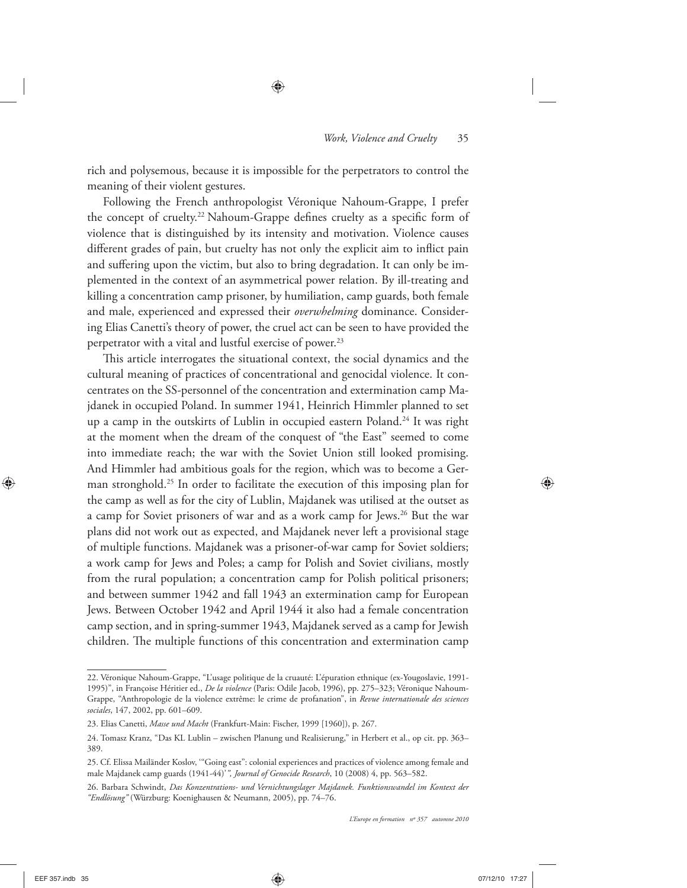rich and polysemous, because it is impossible for the perpetrators to control the meaning of their violent gestures.

Following the French anthropologist Véronique Nahoum-Grappe, I prefer the concept of cruelty.<sup>22</sup> Nahoum-Grappe defines cruelty as a specific form of violence that is distinguished by its intensity and motivation. Violence causes different grades of pain, but cruelty has not only the explicit aim to inflict pain and suffering upon the victim, but also to bring degradation. It can only be implemented in the context of an asymmetrical power relation. By ill-treating and killing a concentration camp prisoner, by humiliation, camp guards, both female and male, experienced and expressed their *overwhelming* dominance. Considering Elias Canetti's theory of power, the cruel act can be seen to have provided the perpetrator with a vital and lustful exercise of power.<sup>23</sup>

This article interrogates the situational context, the social dynamics and the cultural meaning of practices of concentrational and genocidal violence. It concentrates on the SS-personnel of the concentration and extermination camp Majdanek in occupied Poland. In summer 1941, Heinrich Himmler planned to set up a camp in the outskirts of Lublin in occupied eastern Poland.<sup>24</sup> It was right at the moment when the dream of the conquest of "the East" seemed to come into immediate reach; the war with the Soviet Union still looked promising. And Himmler had ambitious goals for the region, which was to become a German stronghold.25 In order to facilitate the execution of this imposing plan for the camp as well as for the city of Lublin, Majdanek was utilised at the outset as a camp for Soviet prisoners of war and as a work camp for Jews.26 But the war plans did not work out as expected, and Majdanek never left a provisional stage of multiple functions. Majdanek was a prisoner-of-war camp for Soviet soldiers; a work camp for Jews and Poles; a camp for Polish and Soviet civilians, mostly from the rural population; a concentration camp for Polish political prisoners; and between summer 1942 and fall 1943 an extermination camp for European Jews. Between October 1942 and April 1944 it also had a female concentration camp section, and in spring-summer 1943, Majdanek served as a camp for Jewish children. The multiple functions of this concentration and extermination camp

<sup>22.</sup> Véronique Nahoum-Grappe, "L'usage politique de la cruauté: L'épuration ethnique (ex-Yougoslavie, 1991- 1995)", in Françoise Héritier ed., *De la violence* (Paris: Odile Jacob, 1996), pp. 275–323; Véronique Nahoum-Grappe, "Anthropologie de la violence extrême: le crime de profanation", in *Revue internationale des sciences sociales*, 147, 2002, pp. 601–609.

<sup>23.</sup> Elias Canetti, *Masse und Macht* (Frankfurt-Main: Fischer, 1999 [1960]), p. 267.

<sup>24.</sup> Tomasz Kranz, "Das KL Lublin – zwischen Planung und Realisierung," in Herbert et al., op cit. pp. 363– 389.

<sup>25.</sup> Cf. Elissa Mailänder Koslov, '"Going east": colonial experiences and practices of violence among female and male Majdanek camp guards (1941-44)'*", Journal of Genocide Research*, 10 (2008) 4, pp. 563–582.

<sup>26.</sup> Barbara Schwindt, *Das Konzentrations- und Vernichtungslager Majdanek. Funktionswandel im Kontext der "Endlösung"* (Würzburg: Koenighausen & Neumann, 2005), pp. 74–76.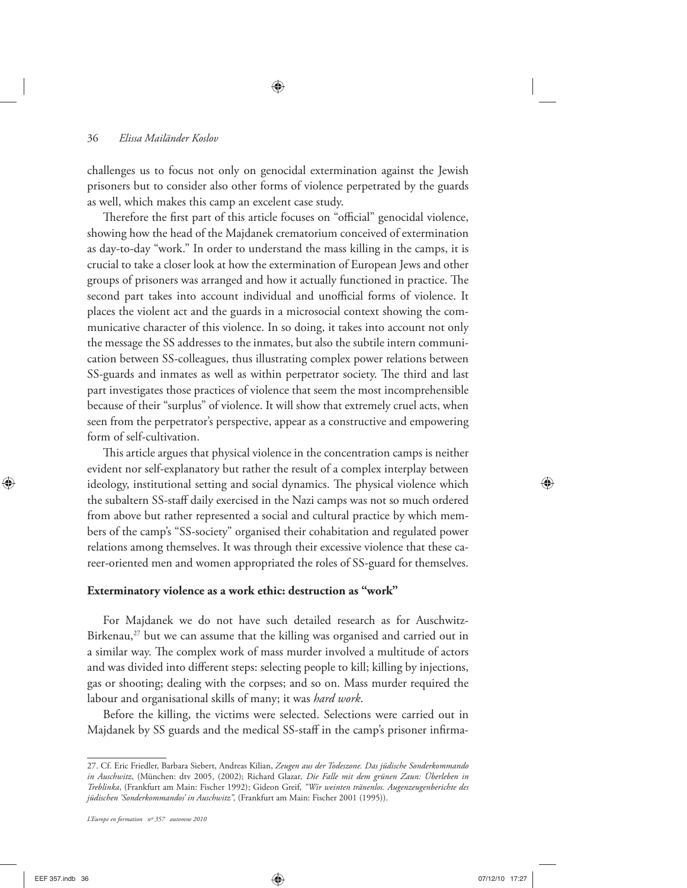challenges us to focus not only on genocidal extermination against the Jewish prisoners but to consider also other forms of violence perpetrated by the guards as well, which makes this camp an excelent case study.

Therefore the first part of this article focuses on "official" genocidal violence, showing how the head of the Majdanek crematorium conceived of extermination as day-to-day "work." In order to understand the mass killing in the camps, it is crucial to take a closer look at how the extermination of European Jews and other groups of prisoners was arranged and how it actually functioned in practice. The second part takes into account individual and unofficial forms of violence. It places the violent act and the guards in a microsocial context showing the communicative character of this violence. In so doing, it takes into account not only the message the SS addresses to the inmates, but also the subtile intern communication between SS-colleagues, thus illustrating complex power relations between SS-guards and inmates as well as within perpetrator society. The third and last part investigates those practices of violence that seem the most incomprehensible because of their "surplus" of violence. It will show that extremely cruel acts, when seen from the perpetrator's perspective, appear as a constructive and empowering form of self-cultivation.

This article argues that physical violence in the concentration camps is neither evident nor self-explanatory but rather the result of a complex interplay between ideology, institutional setting and social dynamics. The physical violence which the subaltern SS-staff daily exercised in the Nazi camps was not so much ordered from above but rather represented a social and cultural practice by which members of the camp's "SS-society" organised their cohabitation and regulated power relations among themselves. It was through their excessive violence that these career-oriented men and women appropriated the roles of SS-guard for themselves.

#### **Exterminatory violence as a work ethic: destruction as "work"**

For Majdanek we do not have such detailed research as for Auschwitz-Birkenau, $^{27}$  but we can assume that the killing was organised and carried out in a similar way. The complex work of mass murder involved a multitude of actors and was divided into different steps: selecting people to kill; killing by injections, gas or shooting; dealing with the corpses; and so on. Mass murder required the labour and organisational skills of many; it was *hard work*.

Before the killing, the victims were selected. Selections were carried out in Majdanek by SS guards and the medical SS-staff in the camp's prisoner infirma-

<sup>27.</sup> Cf. Eric Friedler, Barbara Siebert, Andreas Kilian, *Zeugen aus der Todeszone. Das jüdische Sonderkommando in Auschwitz*, (München: dtv 2005, (2002); Richard Glazar*, Die Falle mit dem grünen Zaun: Überleben in Treblinka*, (Frankfurt am Main: Fischer 1992); Gideon Greif, *"Wir weinten tränenlos. Augenzeugenberichte des jüdischen 'Sonderkommandos' in Auschwitz",* (Frankfurt am Main: Fischer 2001 (1995)).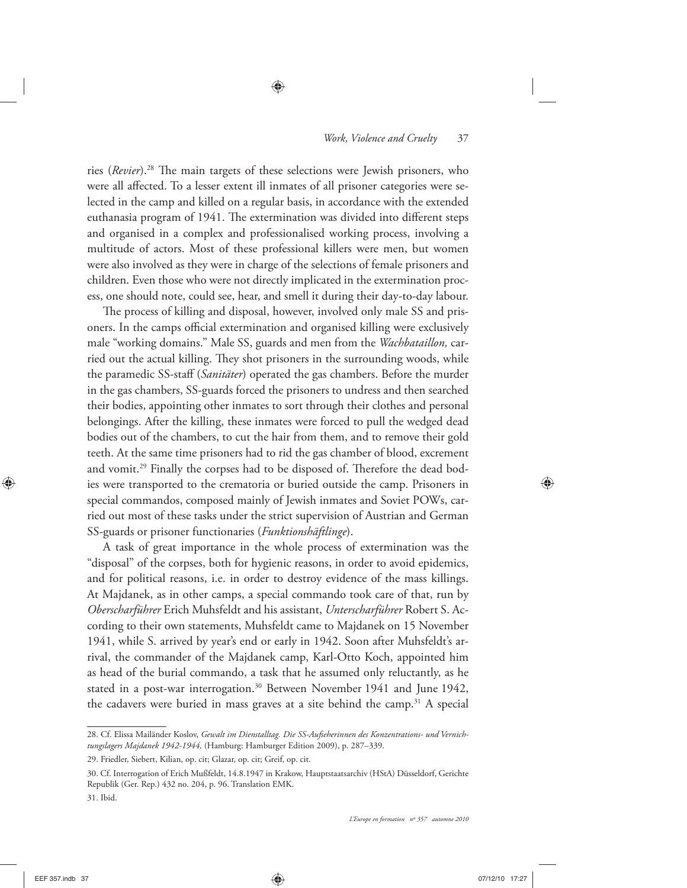ries (*Revier*).<sup>28</sup> The main targets of these selections were Jewish prisoners, who were all affected. To a lesser extent ill inmates of all prisoner categories were selected in the camp and killed on a regular basis, in accordance with the extended euthanasia program of 1941. The extermination was divided into different steps and organised in a complex and professionalised working process, involving a multitude of actors. Most of these professional killers were men, but women were also involved as they were in charge of the selections of female prisoners and children. Even those who were not directly implicated in the extermination process, one should note, could see, hear, and smell it during their day-to-day labour.

The process of killing and disposal, however, involved only male SS and prisoners. In the camps official extermination and organised killing were exclusively male "working domains." Male SS, guards and men from the *Wachbataillon,* carried out the actual killing. They shot prisoners in the surrounding woods, while the paramedic SS-staff (*Sanitäter*) operated the gas chambers. Before the murder in the gas chambers, SS-guards forced the prisoners to undress and then searched their bodies, appointing other inmates to sort through their clothes and personal belongings. After the killing, these inmates were forced to pull the wedged dead bodies out of the chambers, to cut the hair from them, and to remove their gold teeth. At the same time prisoners had to rid the gas chamber of blood, excrement and vomit.<sup>29</sup> Finally the corpses had to be disposed of. Therefore the dead bodies were transported to the crematoria or buried outside the camp. Prisoners in special commandos, composed mainly of Jewish inmates and Soviet POWs, carried out most of these tasks under the strict supervision of Austrian and German SS-guards or prisoner functionaries (*Funktionshäftlinge*).

A task of great importance in the whole process of extermination was the "disposal" of the corpses, both for hygienic reasons, in order to avoid epidemics, and for political reasons, i.e. in order to destroy evidence of the mass killings. At Majdanek, as in other camps, a special commando took care of that, run by *Oberscharführer* Erich Muhsfeldt and his assistant, *Unterscharführer* Robert S. According to their own statements, Muhsfeldt came to Majdanek on 15 November 1941, while S. arrived by year's end or early in 1942. Soon after Muhsfeldt's arrival, the commander of the Majdanek camp, Karl-Otto Koch, appointed him as head of the burial commando, a task that he assumed only reluctantly, as he stated in a post-war interrogation.<sup>30</sup> Between November 1941 and June 1942, the cadavers were buried in mass graves at a site behind the camp.<sup>31</sup> A special

<sup>28.</sup> Cf. Elissa Mailänder Koslov, *Gewalt im Dienstalltag. Die SS-Aufseherinnen des Konzentrations- und Vernichtungslagers Majdanek 1942-1944,* (Hamburg: Hamburger Edition 2009), p. 287–339.

<sup>29.</sup> Friedler, Siebert, Kilian, op. cit; Glazar, op. cit; Greif, op. cit.

<sup>30.</sup> Cf. Interrogation of Erich Mußfeldt, 14.8.1947 in Krakow, Hauptstaatsarchiv (HStA) Düsseldorf, Gerichte Republik (Ger. Rep.) 432 no. 204, p. 96. Translation EMK.

<sup>31.</sup> Ibid.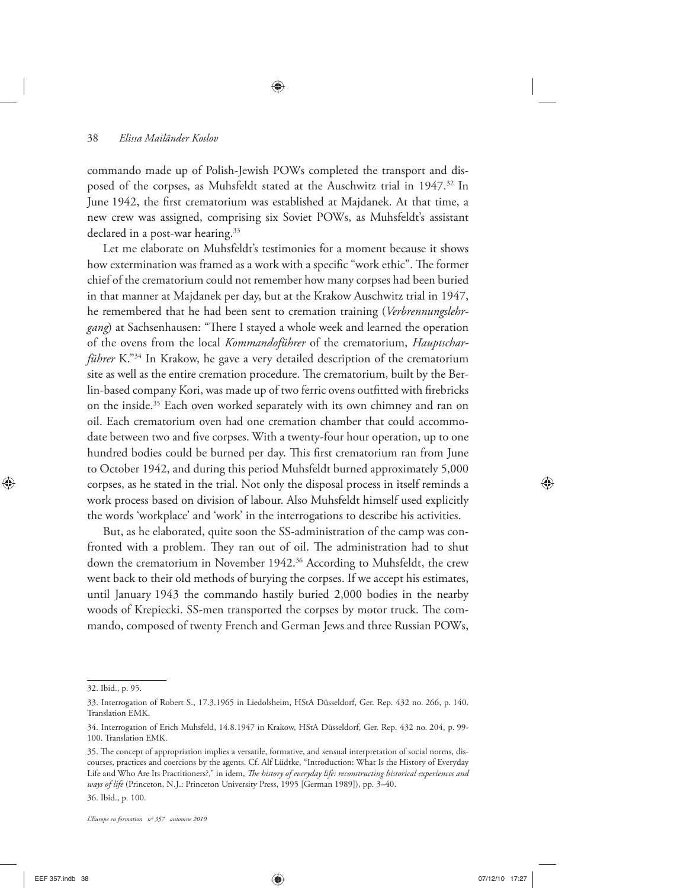commando made up of Polish-Jewish POWs completed the transport and disposed of the corpses, as Muhsfeldt stated at the Auschwitz trial in 1947.<sup>32</sup> In June 1942, the first crematorium was established at Majdanek. At that time, a new crew was assigned, comprising six Soviet POWs, as Muhsfeldt's assistant declared in a post-war hearing.<sup>33</sup>

Let me elaborate on Muhsfeldt's testimonies for a moment because it shows how extermination was framed as a work with a specific "work ethic". The former chief of the crematorium could not remember how many corpses had been buried in that manner at Majdanek per day, but at the Krakow Auschwitz trial in 1947, he remembered that he had been sent to cremation training (*Verbrennungslehr*gang) at Sachsenhausen: "There I stayed a whole week and learned the operation of the ovens from the local *Kommandoführer* of the crematorium, *Hauptscharführer* K."<sup>34</sup> In Krakow, he gave a very detailed description of the crematorium site as well as the entire cremation procedure. The crematorium, built by the Berlin-based company Kori, was made up of two ferric ovens outfitted with firebricks on the inside.<sup>35</sup> Each oven worked separately with its own chimney and ran on oil. Each crematorium oven had one cremation chamber that could accommodate between two and five corpses. With a twenty-four hour operation, up to one hundred bodies could be burned per day. This first crematorium ran from June to October 1942, and during this period Muhsfeldt burned approximately 5,000 corpses, as he stated in the trial. Not only the disposal process in itself reminds a work process based on division of labour. Also Muhsfeldt himself used explicitly the words 'workplace' and 'work' in the interrogations to describe his activities.

But, as he elaborated, quite soon the SS-administration of the camp was confronted with a problem. They ran out of oil. The administration had to shut down the crematorium in November 1942.<sup>36</sup> According to Muhsfeldt, the crew went back to their old methods of burying the corpses. If we accept his estimates, until January 1943 the commando hastily buried 2,000 bodies in the nearby woods of Krepiecki. SS-men transported the corpses by motor truck. The commando, composed of twenty French and German Jews and three Russian POWs,

<sup>32.</sup> Ibid., p. 95.

<sup>33.</sup> Interrogation of Robert S., 17.3.1965 in Liedolsheim, HStA Düsseldorf, Ger. Rep. 432 no. 266, p. 140. Translation EMK.

<sup>34.</sup> Interrogation of Erich Muhsfeld, 14.8.1947 in Krakow, HStA Düsseldorf, Ger. Rep. 432 no. 204, p. 99- 100. Translation EMK.

<sup>35.</sup> The concept of appropriation implies a versatile, formative, and sensual interpretation of social norms, discourses, practices and coercions by the agents. Cf. Alf Lüdtke, "Introduction: What Is the History of Everyday Life and Who Are Its Practitioners?," in idem, *The history of everyday life: reconstructing historical experiences and ways of life* (Princeton, N.J.: Princeton University Press, 1995 [German 1989]), pp. 3–40.

<sup>36.</sup> Ibid., p. 100.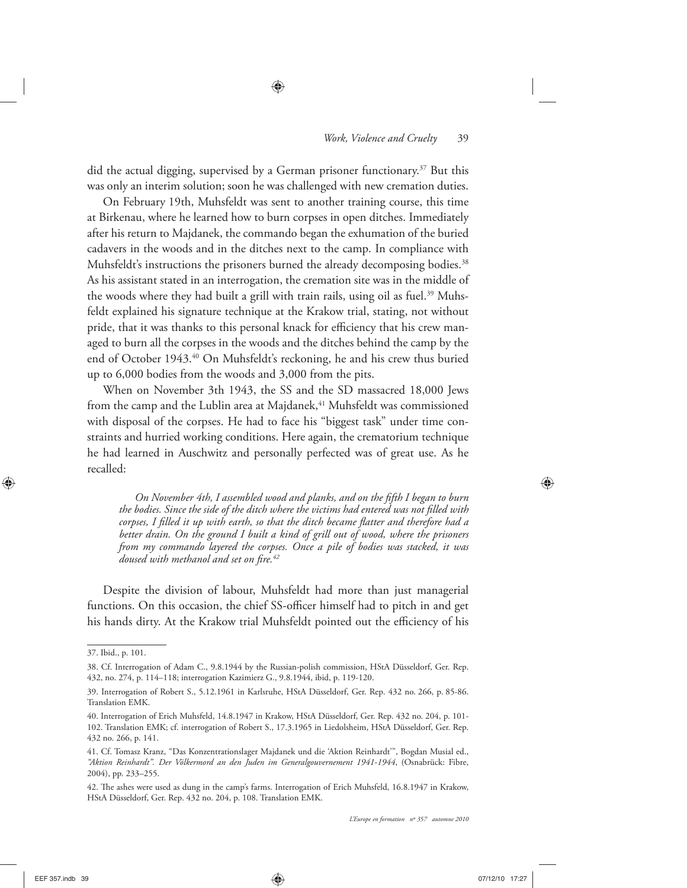did the actual digging, supervised by a German prisoner functionary.<sup>37</sup> But this was only an interim solution; soon he was challenged with new cremation duties.

On February 19th, Muhsfeldt was sent to another training course, this time at Birkenau, where he learned how to burn corpses in open ditches. Immediately after his return to Majdanek, the commando began the exhumation of the buried cadavers in the woods and in the ditches next to the camp. In compliance with Muhsfeldt's instructions the prisoners burned the already decomposing bodies.<sup>38</sup> As his assistant stated in an interrogation, the cremation site was in the middle of the woods where they had built a grill with train rails, using oil as fuel.<sup>39</sup> Muhsfeldt explained his signature technique at the Krakow trial, stating, not without pride, that it was thanks to this personal knack for efficiency that his crew managed to burn all the corpses in the woods and the ditches behind the camp by the end of October 1943.40 On Muhsfeldt's reckoning, he and his crew thus buried up to 6,000 bodies from the woods and 3,000 from the pits.

When on November 3th 1943, the SS and the SD massacred 18,000 Jews from the camp and the Lublin area at Majdanek,<sup>41</sup> Muhsfeldt was commissioned with disposal of the corpses. He had to face his "biggest task" under time constraints and hurried working conditions. Here again, the crematorium technique he had learned in Auschwitz and personally perfected was of great use. As he recalled:

*On November 4th, I assembled wood and planks, and on the fifth I began to burn* the bodies. Since the side of the ditch where the victims had entered was not filled with corpses, I filled it up with earth, so that the ditch became flatter and therefore had a better drain. On the ground I built a kind of grill out of wood, where the prisoners *from my commando layered the corpses. Once a pile of bodies was stacked, it was doused with methanol and set on fire.*<sup>42</sup>

Despite the division of labour, Muhsfeldt had more than just managerial functions. On this occasion, the chief SS-officer himself had to pitch in and get his hands dirty. At the Krakow trial Muhsfeldt pointed out the efficiency of his

<sup>37.</sup> Ibid., p. 101.

<sup>38.</sup> Cf. Interrogation of Adam C., 9.8.1944 by the Russian-polish commission, HStA Düsseldorf, Ger. Rep. 432, no. 274, p. 114–118; interrogation Kazimierz G., 9.8.1944, ibid, p. 119-120.

<sup>39.</sup> Interrogation of Robert S., 5.12.1961 in Karlsruhe, HStA Düsseldorf, Ger. Rep. 432 no. 266, p. 85-86. Translation EMK.

<sup>40.</sup> Interrogation of Erich Muhsfeld, 14.8.1947 in Krakow, HStA Düsseldorf, Ger. Rep. 432 no. 204, p. 101- 102. Translation EMK; cf. interrogation of Robert S., 17.3.1965 in Liedolsheim, HStA Düsseldorf, Ger. Rep. 432 no. 266, p. 141.

<sup>41.</sup> Cf. Tomasz Kranz, "Das Konzentrationslager Majdanek und die 'Aktion Reinhardt'", Bogdan Musial ed., *"Aktion Reinhardt". Der Völkermord an den Juden im Generalgouvernement 1941-1944*, (Osnabrück: Fibre, 2004), pp. 233–255.

<sup>42.</sup> The ashes were used as dung in the camp's farms. Interrogation of Erich Muhsfeld, 16.8.1947 in Krakow, HStA Düsseldorf, Ger. Rep. 432 no. 204, p. 108. Translation EMK.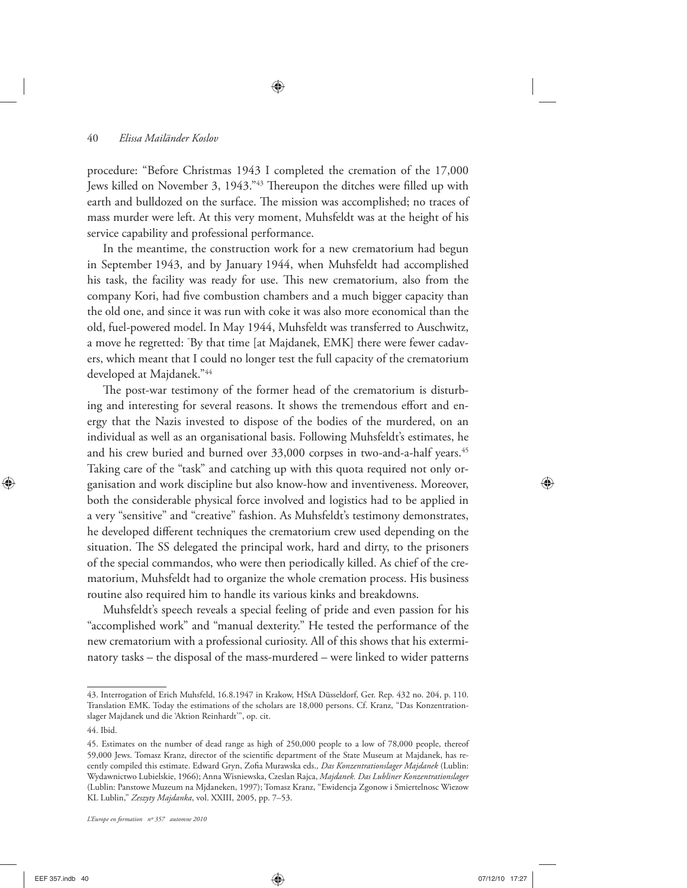procedure: "Before Christmas 1943 I completed the cremation of the 17,000 Jews killed on November 3, 1943."<sup>43</sup> Thereupon the ditches were filled up with earth and bulldozed on the surface. The mission was accomplished; no traces of mass murder were left. At this very moment, Muhsfeldt was at the height of his service capability and professional performance.

In the meantime, the construction work for a new crematorium had begun in September 1943, and by January 1944, when Muhsfeldt had accomplished his task, the facility was ready for use. This new crematorium, also from the company Kori, had five combustion chambers and a much bigger capacity than the old one, and since it was run with coke it was also more economical than the old, fuel-powered model. In May 1944, Muhsfeldt was transferred to Auschwitz, a move he regretted: " By that time [at Majdanek, EMK] there were fewer cadavers, which meant that I could no longer test the full capacity of the crematorium developed at Majdanek."44

The post-war testimony of the former head of the crematorium is disturbing and interesting for several reasons. It shows the tremendous effort and energy that the Nazis invested to dispose of the bodies of the murdered, on an individual as well as an organisational basis. Following Muhsfeldt's estimates, he and his crew buried and burned over 33,000 corpses in two-and-a-half years.<sup>45</sup> Taking care of the "task" and catching up with this quota required not only organisation and work discipline but also know-how and inventiveness. Moreover, both the considerable physical force involved and logistics had to be applied in a very "sensitive" and "creative" fashion. As Muhsfeldt's testimony demonstrates, he developed different techniques the crematorium crew used depending on the situation. The SS delegated the principal work, hard and dirty, to the prisoners of the special commandos, who were then periodically killed. As chief of the crematorium, Muhsfeldt had to organize the whole cremation process. His business routine also required him to handle its various kinks and breakdowns.

Muhsfeldt's speech reveals a special feeling of pride and even passion for his "accomplished work" and "manual dexterity." He tested the performance of the new crematorium with a professional curiosity. All of this shows that his exterminatory tasks – the disposal of the mass-murdered – were linked to wider patterns

<sup>43.</sup> Interrogation of Erich Muhsfeld, 16.8.1947 in Krakow, HStA Düsseldorf, Ger. Rep. 432 no. 204, p. 110. Translation EMK. Today the estimations of the scholars are 18,000 persons. Cf. Kranz, "Das Konzentrationslager Majdanek und die 'Aktion Reinhardt'", op. cit.

<sup>44.</sup> Ibid.

<sup>45.</sup> Estimates on the number of dead range as high of 250,000 people to a low of 78,000 people, thereof 59,000 Jews. Tomasz Kranz, director of the scientific department of the State Museum at Majdanek, has recently compiled this estimate. Edward Gryn, Zofia Murawska eds., Das Konzentrationslager Majdanek (Lublin: Wydawnictwo Lubielskie, 1966); Anna Wisniewska, Czeslan Rajca, *Majdanek. Das Lubliner Konzentrationslager* (Lublin: Panstowe Muzeum na Mjdaneken, 1997); Tomasz Kranz, "Ewidencja Zgonow i Smiertelnosc Wiezow KL Lublin," *Zeszyty Majdanka*, vol. XXIII, 2005, pp. 7–53.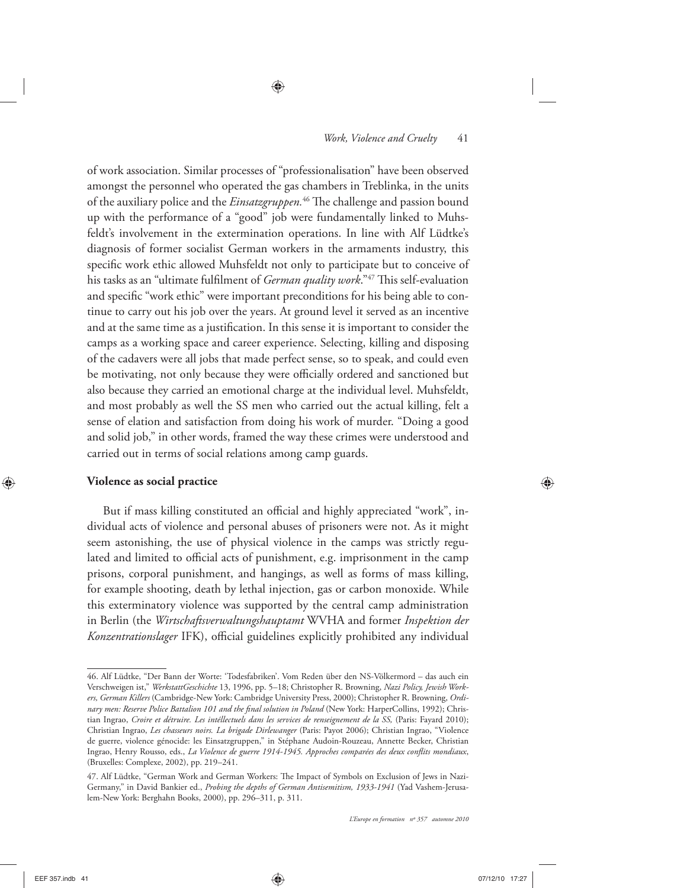of work association. Similar processes of "professionalisation" have been observed amongst the personnel who operated the gas chambers in Treblinka, in the units of the auxiliary police and the *Einsatzgruppen*.<sup>46</sup> The challenge and passion bound up with the performance of a "good" job were fundamentally linked to Muhsfeldt's involvement in the extermination operations. In line with Alf Lüdtke's diagnosis of former socialist German workers in the armaments industry, this specific work ethic allowed Muhsfeldt not only to participate but to conceive of his tasks as an "ultimate fulfilment of *German quality work*."<sup>47</sup> This self-evaluation and specific "work ethic" were important preconditions for his being able to continue to carry out his job over the years. At ground level it served as an incentive and at the same time as a justification. In this sense it is important to consider the camps as a working space and career experience. Selecting, killing and disposing of the cadavers were all jobs that made perfect sense, so to speak, and could even be motivating, not only because they were officially ordered and sanctioned but also because they carried an emotional charge at the individual level. Muhsfeldt, and most probably as well the SS men who carried out the actual killing, felt a sense of elation and satisfaction from doing his work of murder. "Doing a good and solid job," in other words, framed the way these crimes were understood and carried out in terms of social relations among camp guards.

#### **Violence as social practice**

But if mass killing constituted an official and highly appreciated "work", individual acts of violence and personal abuses of prisoners were not. As it might seem astonishing, the use of physical violence in the camps was strictly regulated and limited to official acts of punishment, e.g. imprisonment in the camp prisons, corporal punishment, and hangings, as well as forms of mass killing, for example shooting, death by lethal injection, gas or carbon monoxide. While this exterminatory violence was supported by the central camp administration in Berlin (the *Wirtschaftsverwaltungshauptamt* WVHA and former *Inspektion der Konzentrationslager* IFK), official guidelines explicitly prohibited any individual

<sup>46.</sup> Alf Lüdtke, "Der Bann der Worte: 'Todesfabriken'. Vom Reden über den NS-Völkermord – das auch ein Verschweigen ist," *WerkstattGeschichte* 13, 1996, pp. 5–18; Christopher R. Browning, *Nazi Policy, Jewish Workers, German Killers* (Cambridge-New York: Cambridge University Press, 2000); Christopher R. Browning, *Ordi*nary men: Reserve Police Battalion 101 and the final solution in Poland (New York: HarperCollins, 1992); Christian Ingrao, *Croire et détruire. Les intéllectuels dans les services de renseignement de la SS,* (Paris: Fayard 2010); Christian Ingrao, *Les chasseurs noirs. La brigade Dirlewanger* (Paris: Payot 2006); Christian Ingrao, "Violence de guerre, violence génocide: les Einsatzgruppen," in Stéphane Audoin-Rouzeau, Annette Becker, Christian Ingrao, Henry Rousso, eds., *La Violence de guerre 1914-1945. Approches comparées des deux conflits mondiaux*, (Bruxelles: Complexe, 2002), pp. 219–241.

<sup>47.</sup> Alf Lüdtke, "German Work and German Workers: The Impact of Symbols on Exclusion of Jews in Nazi-Germany," in David Bankier ed., *Probing the depths of German Antisemitism, 1933-1941* (Yad Vashem-Jerusalem-New York: Berghahn Books, 2000), pp. 296–311, p. 311.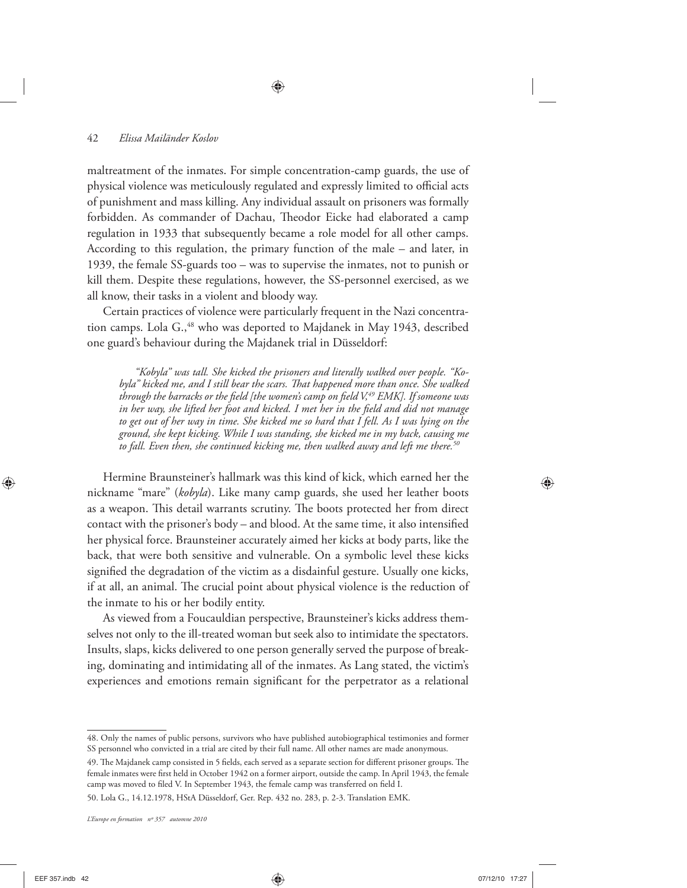maltreatment of the inmates. For simple concentration-camp guards, the use of physical violence was meticulously regulated and expressly limited to official acts of punishment and mass killing. Any individual assault on prisoners was formally forbidden. As commander of Dachau, Theodor Eicke had elaborated a camp regulation in 1933 that subsequently became a role model for all other camps. According to this regulation, the primary function of the male – and later, in 1939, the female SS-guards too – was to supervise the inmates, not to punish or kill them. Despite these regulations, however, the SS-personnel exercised, as we all know, their tasks in a violent and bloody way.

Certain practices of violence were particularly frequent in the Nazi concentration camps. Lola G.,<sup>48</sup> who was deported to Majdanek in May 1943, described one guard's behaviour during the Majdanek trial in Düsseldorf:

*"Kobyla" was tall. She kicked the prisoners and literally walked over people. "Ko*byla" kicked me, and I still bear the scars. That happened more than once. She walked through the barracks or the field [the women's camp on field V,<sup>49</sup> EMK]. If someone was *in her way, she lifted her foot and kicked. I met her in the fi eld and did not manage to get out of her way in time. She kicked me so hard that I fell. As I was lying on the ground, she kept kicking. While I was standing, she kicked me in my back, causing me to fall. Even then, she continued kicking me, then walked away and left me there.50*

Hermine Braunsteiner's hallmark was this kind of kick, which earned her the nickname "mare" (*kobyla*). Like many camp guards, she used her leather boots as a weapon. This detail warrants scrutiny. The boots protected her from direct contact with the prisoner's body – and blood. At the same time, it also intensified her physical force. Braunsteiner accurately aimed her kicks at body parts, like the back, that were both sensitive and vulnerable. On a symbolic level these kicks signified the degradation of the victim as a disdainful gesture. Usually one kicks, if at all, an animal. The crucial point about physical violence is the reduction of the inmate to his or her bodily entity.

As viewed from a Foucauldian perspective, Braunsteiner's kicks address themselves not only to the ill-treated woman but seek also to intimidate the spectators. Insults, slaps, kicks delivered to one person generally served the purpose of breaking, dominating and intimidating all of the inmates. As Lang stated, the victim's experiences and emotions remain significant for the perpetrator as a relational

<sup>48.</sup> Only the names of public persons, survivors who have published autobiographical testimonies and former SS personnel who convicted in a trial are cited by their full name. All other names are made anonymous.

<sup>49.</sup> The Majdanek camp consisted in 5 fields, each served as a separate section for different prisoner groups. The female inmates were first held in October 1942 on a former airport, outside the camp. In April 1943, the female camp was moved to filed V. In September 1943, the female camp was transferred on field I.

<sup>50.</sup> Lola G., 14.12.1978, HStA Düsseldorf, Ger. Rep. 432 no. 283, p. 2-3. Translation EMK.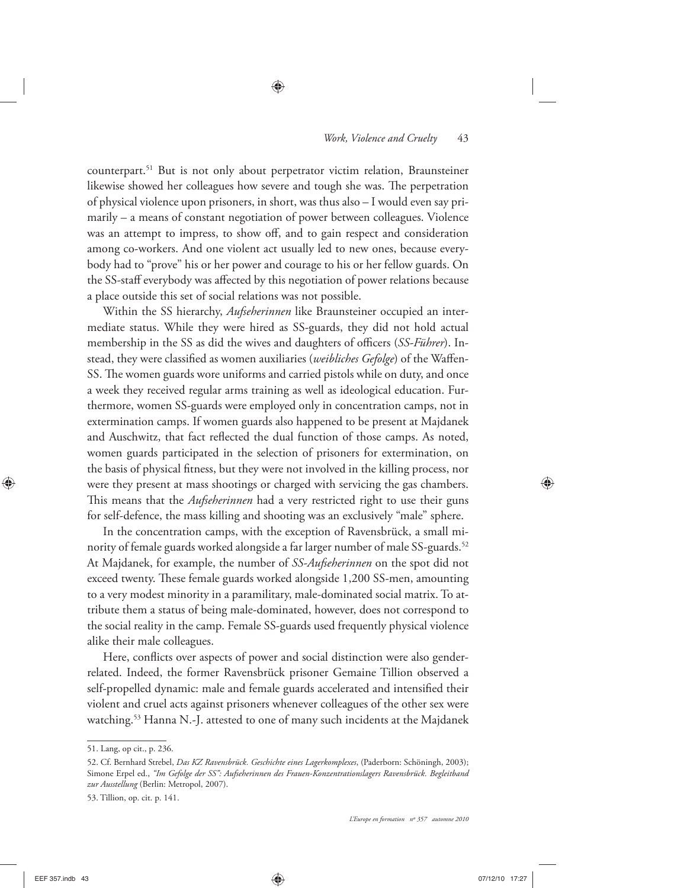counterpart.51 But is not only about perpetrator victim relation, Braunsteiner likewise showed her colleagues how severe and tough she was. The perpetration of physical violence upon prisoners, in short, was thus also – I would even say primarily – a means of constant negotiation of power between colleagues. Violence was an attempt to impress, to show off, and to gain respect and consideration among co-workers. And one violent act usually led to new ones, because everybody had to "prove" his or her power and courage to his or her fellow guards. On the SS-staff everybody was affected by this negotiation of power relations because a place outside this set of social relations was not possible.

Within the SS hierarchy, *Aufseherinnen* like Braunsteiner occupied an intermediate status. While they were hired as SS-guards, they did not hold actual membership in the SS as did the wives and daughters of officers (SS-Führer). Instead, they were classified as women auxiliaries (*weibliches Gefolge*) of the Waffen-SS. The women guards wore uniforms and carried pistols while on duty, and once a week they received regular arms training as well as ideological education. Furthermore, women SS-guards were employed only in concentration camps, not in extermination camps. If women guards also happened to be present at Majdanek and Auschwitz, that fact reflected the dual function of those camps. As noted, women guards participated in the selection of prisoners for extermination, on the basis of physical fitness, but they were not involved in the killing process, nor were they present at mass shootings or charged with servicing the gas chambers. This means that the *Aufseherinnen* had a very restricted right to use their guns for self-defence, the mass killing and shooting was an exclusively "male" sphere.

In the concentration camps, with the exception of Ravensbrück, a small minority of female guards worked alongside a far larger number of male SS-guards.<sup>52</sup> At Majdanek, for example, the number of *SS-Aufseherinnen* on the spot did not exceed twenty. These female guards worked alongside 1,200 SS-men, amounting to a very modest minority in a paramilitary, male-dominated social matrix. To attribute them a status of being male-dominated, however, does not correspond to the social reality in the camp. Female SS-guards used frequently physical violence alike their male colleagues.

Here, conflicts over aspects of power and social distinction were also genderrelated. Indeed, the former Ravensbrück prisoner Gemaine Tillion observed a self-propelled dynamic: male and female guards accelerated and intensified their violent and cruel acts against prisoners whenever colleagues of the other sex were watching.<sup>53</sup> Hanna N.-J. attested to one of many such incidents at the Majdanek

<sup>51.</sup> Lang, op cit., p. 236.

<sup>52.</sup> Cf. Bernhard Strebel, *Das KZ Ravensbrück. Geschichte eines Lagerkomplexes*, (Paderborn: Schöningh, 2003); Simone Erpel ed., *"Im Gefolge der SS": Aufseherinnen des Frauen-Konzentrationslagers Ravensbrück. Begleitband zur Ausstellung* (Berlin: Metropol, 2007).

<sup>53.</sup> Tillion, op. cit. p. 141.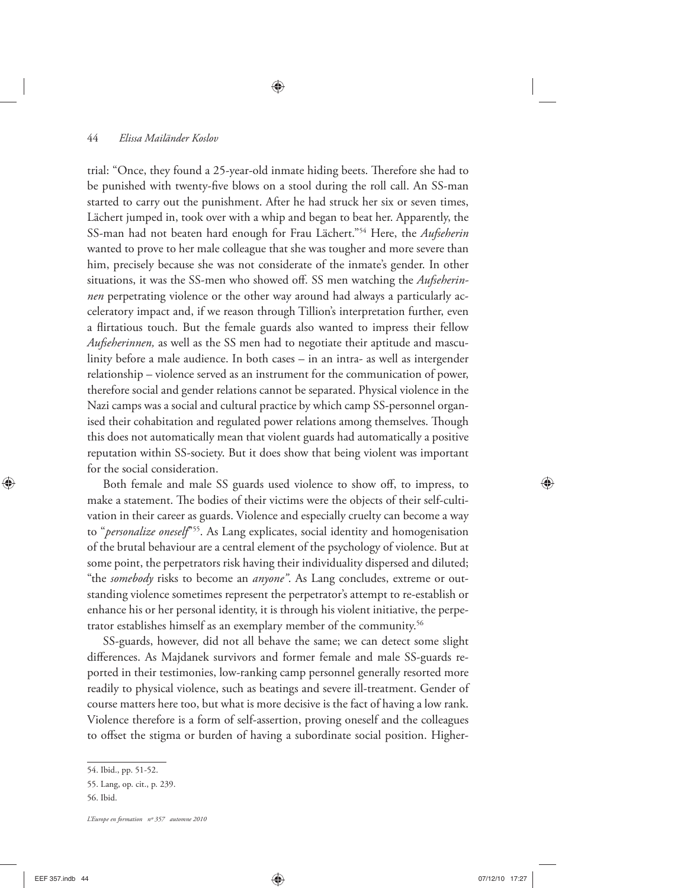trial: "Once, they found a 25-year-old inmate hiding beets. Therefore she had to be punished with twenty-five blows on a stool during the roll call. An SS-man started to carry out the punishment. After he had struck her six or seven times, Lächert jumped in, took over with a whip and began to beat her. Apparently, the SS-man had not beaten hard enough for Frau Lächert."54 Here, the *Aufseherin* wanted to prove to her male colleague that she was tougher and more severe than him, precisely because she was not considerate of the inmate's gender. In other situations, it was the SS-men who showed off. SS men watching the *Aufseherinnen* perpetrating violence or the other way around had always a particularly acceleratory impact and, if we reason through Tillion's interpretation further, even a flirtatious touch. But the female guards also wanted to impress their fellow *Aufseherinnen,* as well as the SS men had to negotiate their aptitude and masculinity before a male audience. In both cases – in an intra- as well as intergender relationship – violence served as an instrument for the communication of power, therefore social and gender relations cannot be separated. Physical violence in the Nazi camps was a social and cultural practice by which camp SS-personnel organised their cohabitation and regulated power relations among themselves. Though this does not automatically mean that violent guards had automatically a positive reputation within SS-society. But it does show that being violent was important for the social consideration.

Both female and male SS guards used violence to show off, to impress, to make a statement. The bodies of their victims were the objects of their self-cultivation in their career as guards. Violence and especially cruelty can become a way to "*personalize oneself*"55. As Lang explicates, social identity and homogenisation of the brutal behaviour are a central element of the psychology of violence. But at some point, the perpetrators risk having their individuality dispersed and diluted; "the *somebody* risks to become an *anyone"*. As Lang concludes, extreme or outstanding violence sometimes represent the perpetrator's attempt to re-establish or enhance his or her personal identity, it is through his violent initiative, the perpetrator establishes himself as an exemplary member of the community.<sup>56</sup>

SS-guards, however, did not all behave the same; we can detect some slight differences. As Majdanek survivors and former female and male SS-guards reported in their testimonies, low-ranking camp personnel generally resorted more readily to physical violence, such as beatings and severe ill-treatment. Gender of course matters here too, but what is more decisive is the fact of having a low rank. Violence therefore is a form of self-assertion, proving oneself and the colleagues to offset the stigma or burden of having a subordinate social position. Higher-

<sup>54.</sup> Ibid., pp. 51-52.

<sup>55.</sup> Lang, op. cit., p. 239.

<sup>56.</sup> Ibid.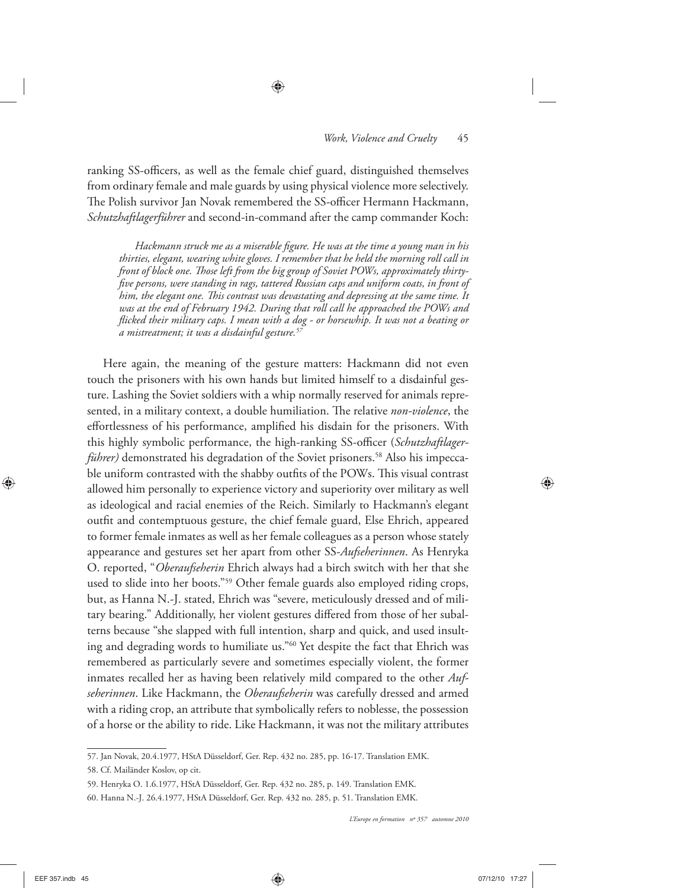ranking SS-officers, as well as the female chief guard, distinguished themselves from ordinary female and male guards by using physical violence more selectively. The Polish survivor Jan Novak remembered the SS-officer Hermann Hackmann, *Schutzhaftlagerführer* and second-in-command after the camp commander Koch:

Hackmann struck me as a miserable figure. He was at the time a young man in his *thirties, elegant, wearing white gloves. I remember that he held the morning roll call in*  front of block one. Those left from the big group of Soviet POWs, approximately thirty*fi ve persons, were standing in rags, tattered Russian caps and uniform coats, in front of him, the elegant one. This contrast was devastating and depressing at the same time. It was at the end of February 1942. During that roll call he approached the POWs and fl icked their military caps. I mean with a dog - or horsewhip. It was not a beating or a mistreatment; it was a disdainful gesture.57*

Here again, the meaning of the gesture matters: Hackmann did not even touch the prisoners with his own hands but limited himself to a disdainful gesture. Lashing the Soviet soldiers with a whip normally reserved for animals represented, in a military context, a double humiliation. The relative *non-violence*, the effortlessness of his performance, amplified his disdain for the prisoners. With this highly symbolic performance, the high-ranking SS-officer (Schutzhaftlager*führer*) demonstrated his degradation of the Soviet prisoners.<sup>58</sup> Also his impeccable uniform contrasted with the shabby outfits of the POWs. This visual contrast allowed him personally to experience victory and superiority over military as well as ideological and racial enemies of the Reich. Similarly to Hackmann's elegant outfit and contemptuous gesture, the chief female guard, Else Ehrich, appeared to former female inmates as well as her female colleagues as a person whose stately appearance and gestures set her apart from other SS-*Aufseherinnen*. As Henryka O. reported, "*Oberaufseherin* Ehrich always had a birch switch with her that she used to slide into her boots."59 Other female guards also employed riding crops, but, as Hanna N.-J. stated, Ehrich was "severe, meticulously dressed and of military bearing." Additionally, her violent gestures differed from those of her subalterns because "she slapped with full intention, sharp and quick, and used insulting and degrading words to humiliate us."60 Yet despite the fact that Ehrich was remembered as particularly severe and sometimes especially violent, the former inmates recalled her as having been relatively mild compared to the other *Aufseherinnen*. Like Hackmann, the *Oberaufseherin* was carefully dressed and armed with a riding crop, an attribute that symbolically refers to noblesse, the possession of a horse or the ability to ride. Like Hackmann, it was not the military attributes

<sup>57.</sup> Jan Novak, 20.4.1977, HStA Düsseldorf, Ger. Rep. 432 no. 285, pp. 16-17. Translation EMK.

<sup>58.</sup> Cf. Mailänder Koslov, op cit.

<sup>59.</sup> Henryka O. 1.6.1977, HStA Düsseldorf, Ger. Rep. 432 no. 285, p. 149. Translation EMK.

<sup>60.</sup> Hanna N.-J. 26.4.1977, HStA Düsseldorf, Ger. Rep. 432 no. 285, p. 51. Translation EMK.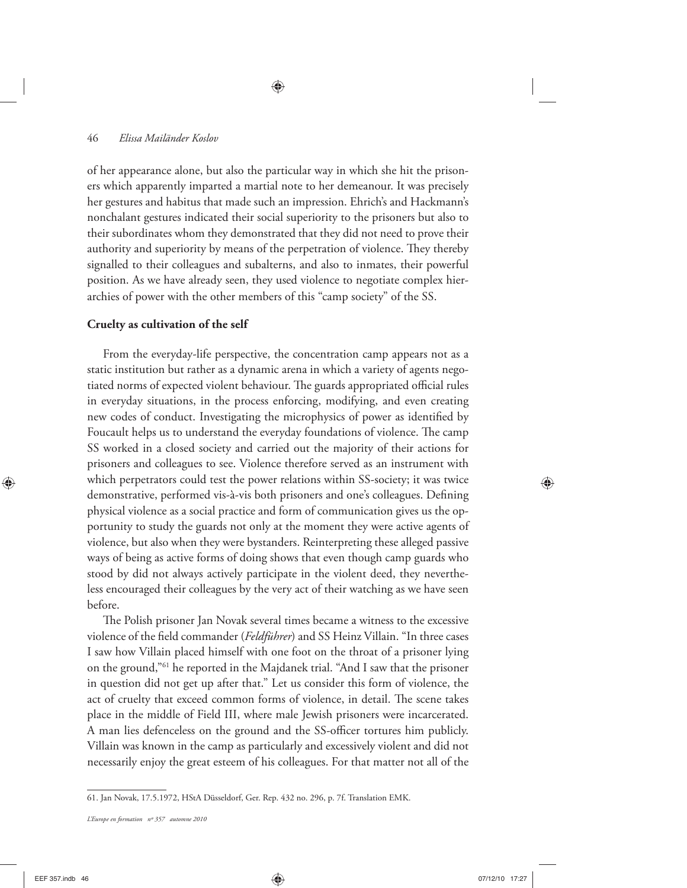of her appearance alone, but also the particular way in which she hit the prisoners which apparently imparted a martial note to her demeanour. It was precisely her gestures and habitus that made such an impression. Ehrich's and Hackmann's nonchalant gestures indicated their social superiority to the prisoners but also to their subordinates whom they demonstrated that they did not need to prove their authority and superiority by means of the perpetration of violence. They thereby signalled to their colleagues and subalterns, and also to inmates, their powerful position. As we have already seen, they used violence to negotiate complex hierarchies of power with the other members of this "camp society" of the SS.

#### **Cruelty as cultivation of the self**

From the everyday-life perspective, the concentration camp appears not as a static institution but rather as a dynamic arena in which a variety of agents negotiated norms of expected violent behaviour. The guards appropriated official rules in everyday situations, in the process enforcing, modifying, and even creating new codes of conduct. Investigating the microphysics of power as identified by Foucault helps us to understand the everyday foundations of violence. The camp SS worked in a closed society and carried out the majority of their actions for prisoners and colleagues to see. Violence therefore served as an instrument with which perpetrators could test the power relations within SS-society; it was twice demonstrative, performed vis-à-vis both prisoners and one's colleagues. Defining physical violence as a social practice and form of communication gives us the opportunity to study the guards not only at the moment they were active agents of violence, but also when they were bystanders. Reinterpreting these alleged passive ways of being as active forms of doing shows that even though camp guards who stood by did not always actively participate in the violent deed, they nevertheless encouraged their colleagues by the very act of their watching as we have seen before.

The Polish prisoner Jan Novak several times became a witness to the excessive violence of the field commander (*Feldführer*) and SS Heinz Villain. "In three cases I saw how Villain placed himself with one foot on the throat of a prisoner lying on the ground,"61 he reported in the Majdanek trial. "And I saw that the prisoner in question did not get up after that." Let us consider this form of violence, the act of cruelty that exceed common forms of violence, in detail. The scene takes place in the middle of Field III, where male Jewish prisoners were incarcerated. A man lies defenceless on the ground and the SS-officer tortures him publicly. Villain was known in the camp as particularly and excessively violent and did not necessarily enjoy the great esteem of his colleagues. For that matter not all of the

<sup>61.</sup> Jan Novak, 17.5.1972, HStA Düsseldorf, Ger. Rep. 432 no. 296, p. 7f. Translation EMK.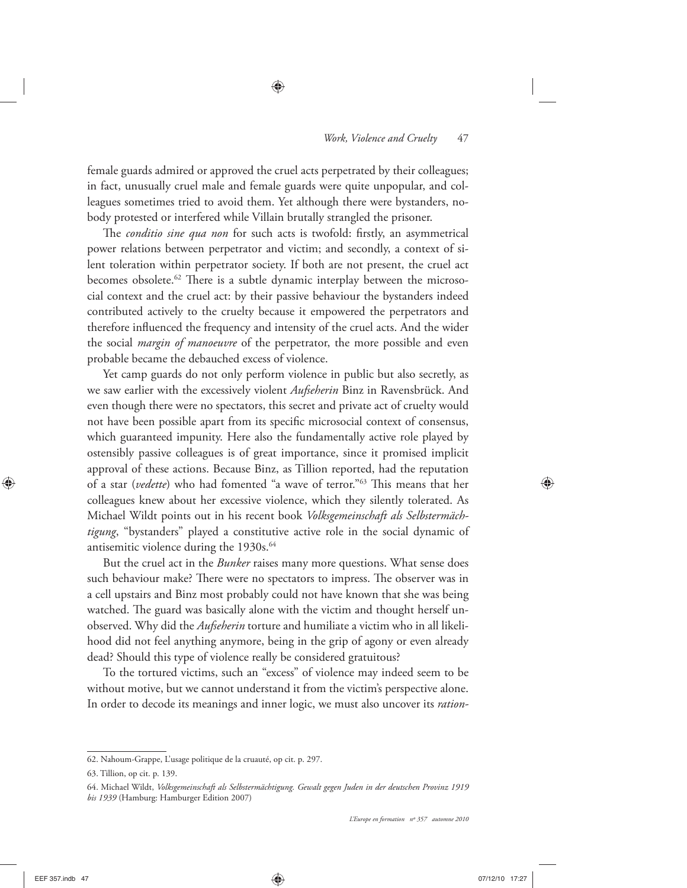female guards admired or approved the cruel acts perpetrated by their colleagues; in fact, unusually cruel male and female guards were quite unpopular, and colleagues sometimes tried to avoid them. Yet although there were bystanders, nobody protested or interfered while Villain brutally strangled the prisoner.

The *conditio sine qua non* for such acts is twofold: firstly, an asymmetrical power relations between perpetrator and victim; and secondly, a context of silent toleration within perpetrator society. If both are not present, the cruel act becomes obsolete.<sup>62</sup> There is a subtle dynamic interplay between the microsocial context and the cruel act: by their passive behaviour the bystanders indeed contributed actively to the cruelty because it empowered the perpetrators and therefore influenced the frequency and intensity of the cruel acts. And the wider the social *margin of manoeuvre* of the perpetrator, the more possible and even probable became the debauched excess of violence.

Yet camp guards do not only perform violence in public but also secretly, as we saw earlier with the excessively violent *Aufseherin* Binz in Ravensbrück. And even though there were no spectators, this secret and private act of cruelty would not have been possible apart from its specific microsocial context of consensus, which guaranteed impunity. Here also the fundamentally active role played by ostensibly passive colleagues is of great importance, since it promised implicit approval of these actions. Because Binz, as Tillion reported, had the reputation of a star (*vedette*) who had fomented "a wave of terror."<sup>63</sup> This means that her colleagues knew about her excessive violence, which they silently tolerated. As Michael Wildt points out in his recent book *Volksgemeinschaft als Selbstermächtigung*, "bystanders" played a constitutive active role in the social dynamic of antisemitic violence during the 1930s.<sup>64</sup>

But the cruel act in the *Bunker* raises many more questions. What sense does such behaviour make? There were no spectators to impress. The observer was in a cell upstairs and Binz most probably could not have known that she was being watched. The guard was basically alone with the victim and thought herself unobserved. Why did the *Aufseherin* torture and humiliate a victim who in all likelihood did not feel anything anymore, being in the grip of agony or even already dead? Should this type of violence really be considered gratuitous?

To the tortured victims, such an "excess" of violence may indeed seem to be without motive, but we cannot understand it from the victim's perspective alone. In order to decode its meanings and inner logic, we must also uncover its *ration-*

<sup>62.</sup> Nahoum-Grappe, L'usage politique de la cruauté, op cit. p. 297.

<sup>63.</sup> Tillion, op cit. p. 139.

<sup>64.</sup> Michael Wildt, *Volksgemeinschaft als Selbstermächtigung. Gewalt gegen Juden in der deutschen Provinz 1919 bis 1939* (Hamburg: Hamburger Edition 2007)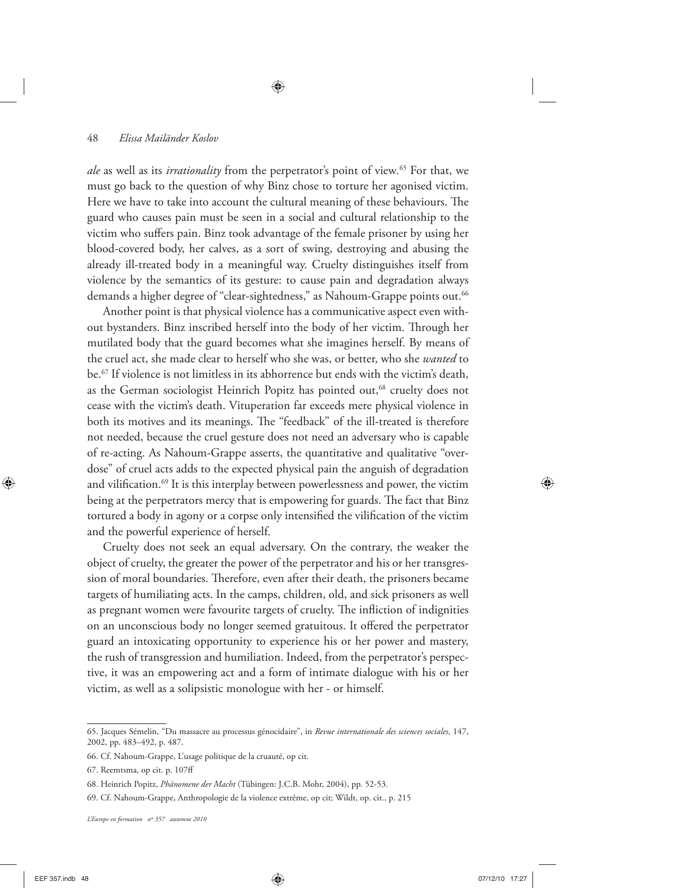*ale* as well as its *irrationality* from the perpetrator's point of view*.* 65 For that, we must go back to the question of why Binz chose to torture her agonised victim. Here we have to take into account the cultural meaning of these behaviours. The guard who causes pain must be seen in a social and cultural relationship to the victim who suffers pain. Binz took advantage of the female prisoner by using her blood-covered body, her calves, as a sort of swing, destroying and abusing the already ill-treated body in a meaningful way. Cruelty distinguishes itself from violence by the semantics of its gesture: to cause pain and degradation always demands a higher degree of "clear-sightedness," as Nahoum-Grappe points out.<sup>66</sup>

Another point is that physical violence has a communicative aspect even without bystanders. Binz inscribed herself into the body of her victim. Through her mutilated body that the guard becomes what she imagines herself. By means of the cruel act, she made clear to herself who she was, or better, who she *wanted* to be.67 If violence is not limitless in its abhorrence but ends with the victim's death, as the German sociologist Heinrich Popitz has pointed out,<sup>68</sup> cruelty does not cease with the victim's death. Vituperation far exceeds mere physical violence in both its motives and its meanings. The "feedback" of the ill-treated is therefore not needed, because the cruel gesture does not need an adversary who is capable of re-acting. As Nahoum-Grappe asserts, the quantitative and qualitative "overdose" of cruel acts adds to the expected physical pain the anguish of degradation and vilification.<sup>69</sup> It is this interplay between powerlessness and power, the victim being at the perpetrators mercy that is empowering for guards. The fact that Binz tortured a body in agony or a corpse only intensified the vilification of the victim and the powerful experience of herself.

Cruelty does not seek an equal adversary. On the contrary, the weaker the object of cruelty, the greater the power of the perpetrator and his or her transgression of moral boundaries. Therefore, even after their death, the prisoners became targets of humiliating acts. In the camps, children, old, and sick prisoners as well as pregnant women were favourite targets of cruelty. The infliction of indignities on an unconscious body no longer seemed gratuitous. It offered the perpetrator guard an intoxicating opportunity to experience his or her power and mastery, the rush of transgression and humiliation. Indeed, from the perpetrator's perspective, it was an empowering act and a form of intimate dialogue with his or her victim, as well as a solipsistic monologue with her - or himself.

<sup>65.</sup> Jacques Sémelin, "Du massacre au processus génocidaire", in *Revue internationale des sciences sociales*, 147, 2002, pp. 483–492, p. 487.

<sup>66.</sup> Cf. Nahoum-Grappe, L'usage politique de la cruauté, op cit.

<sup>67.</sup> Reemtsma, op cit. p. 107ff

<sup>68.</sup> Heinrich Popitz, *Phänomene der Macht* (Tübingen: J.C.B. Mohr, 2004), pp. 52-53.

<sup>69.</sup> Cf. Nahoum-Grappe, Anthropologie de la violence extrême, op cit; Wildt, op. cit., p. 215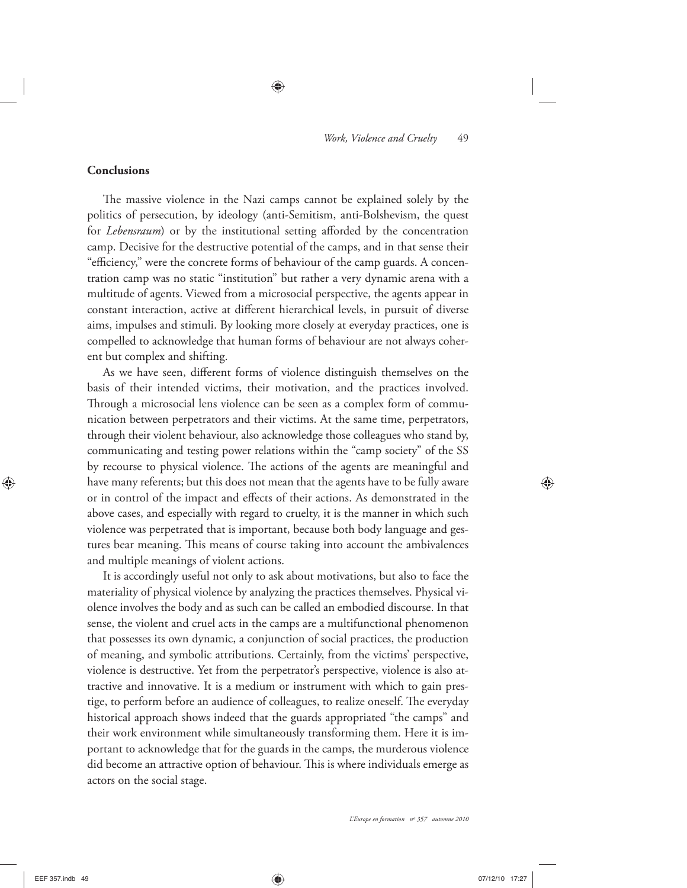#### **Conclusions**

The massive violence in the Nazi camps cannot be explained solely by the politics of persecution, by ideology (anti-Semitism, anti-Bolshevism, the quest for *Lebensraum*) or by the institutional setting afforded by the concentration camp. Decisive for the destructive potential of the camps, and in that sense their "efficiency," were the concrete forms of behaviour of the camp guards. A concentration camp was no static "institution" but rather a very dynamic arena with a multitude of agents. Viewed from a microsocial perspective, the agents appear in constant interaction, active at different hierarchical levels, in pursuit of diverse aims, impulses and stimuli. By looking more closely at everyday practices, one is compelled to acknowledge that human forms of behaviour are not always coherent but complex and shifting.

As we have seen, different forms of violence distinguish themselves on the basis of their intended victims, their motivation, and the practices involved. Through a microsocial lens violence can be seen as a complex form of communication between perpetrators and their victims. At the same time, perpetrators, through their violent behaviour, also acknowledge those colleagues who stand by, communicating and testing power relations within the "camp society" of the SS by recourse to physical violence. The actions of the agents are meaningful and have many referents; but this does not mean that the agents have to be fully aware or in control of the impact and effects of their actions. As demonstrated in the above cases, and especially with regard to cruelty, it is the manner in which such violence was perpetrated that is important, because both body language and gestures bear meaning. This means of course taking into account the ambivalences and multiple meanings of violent actions.

It is accordingly useful not only to ask about motivations, but also to face the materiality of physical violence by analyzing the practices themselves. Physical violence involves the body and as such can be called an embodied discourse. In that sense, the violent and cruel acts in the camps are a multifunctional phenomenon that possesses its own dynamic, a conjunction of social practices, the production of meaning, and symbolic attributions. Certainly, from the victims' perspective, violence is destructive. Yet from the perpetrator's perspective, violence is also attractive and innovative. It is a medium or instrument with which to gain prestige, to perform before an audience of colleagues, to realize oneself. The everyday historical approach shows indeed that the guards appropriated "the camps" and their work environment while simultaneously transforming them. Here it is important to acknowledge that for the guards in the camps, the murderous violence did become an attractive option of behaviour. This is where individuals emerge as actors on the social stage.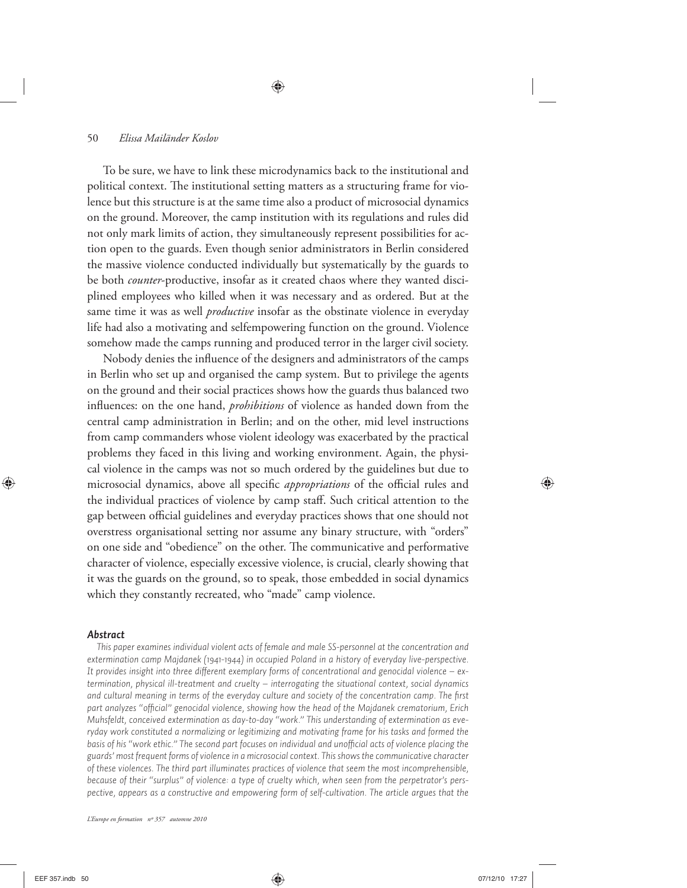To be sure, we have to link these microdynamics back to the institutional and political context. The institutional setting matters as a structuring frame for violence but this structure is at the same time also a product of microsocial dynamics on the ground. Moreover, the camp institution with its regulations and rules did not only mark limits of action, they simultaneously represent possibilities for action open to the guards. Even though senior administrators in Berlin considered the massive violence conducted individually but systematically by the guards to be both *counter*-productive, insofar as it created chaos where they wanted disciplined employees who killed when it was necessary and as ordered. But at the same time it was as well *productive* insofar as the obstinate violence in everyday life had also a motivating and selfempowering function on the ground. Violence somehow made the camps running and produced terror in the larger civil society.

Nobody denies the influence of the designers and administrators of the camps in Berlin who set up and organised the camp system. But to privilege the agents on the ground and their social practices shows how the guards thus balanced two influences: on the one hand, *prohibitions* of violence as handed down from the central camp administration in Berlin; and on the other, mid level instructions from camp commanders whose violent ideology was exacerbated by the practical problems they faced in this living and working environment. Again, the physical violence in the camps was not so much ordered by the guidelines but due to microsocial dynamics, above all specific *appropriations* of the official rules and the individual practices of violence by camp staff. Such critical attention to the gap between official guidelines and everyday practices shows that one should not overstress organisational setting nor assume any binary structure, with "orders" on one side and "obedience" on the other. The communicative and performative character of violence, especially excessive violence, is crucial, clearly showing that it was the guards on the ground, so to speak, those embedded in social dynamics which they constantly recreated, who "made" camp violence.

#### *Abstract*

*This paper examines individual violent acts of female and male SS-personnel at the concentration and extermination camp Majdanek (1941-1944) in occupied Poland in a history of everyday live-perspective. It provides insight into three different exemplary forms of concentrational and genocidal violence – extermination, physical ill-treatment and cruelty – interrogating the situational context, social dynamics*  and cultural meaning in terms of the everyday culture and society of the concentration camp. The first part analyzes "official" genocidal violence, showing how the head of the Majdanek crematorium, Erich *Muhsfeldt, conceived extermination as day-to-day "work." This understanding of extermination as everyday work constituted a normalizing or legitimizing and motivating frame for his tasks and formed the*  basis of his "work ethic." The second part focuses on individual and unofficial acts of violence placing the *guards' most frequent forms of violence in a microsocial context. This shows the communicative character of these violences. The third part illuminates practices of violence that seem the most incomprehensible, because of their "surplus" of violence: a type of cruelty which, when seen from the perpetrator's perspective, appears as a constructive and empowering form of self-cultivation. The article argues that the*